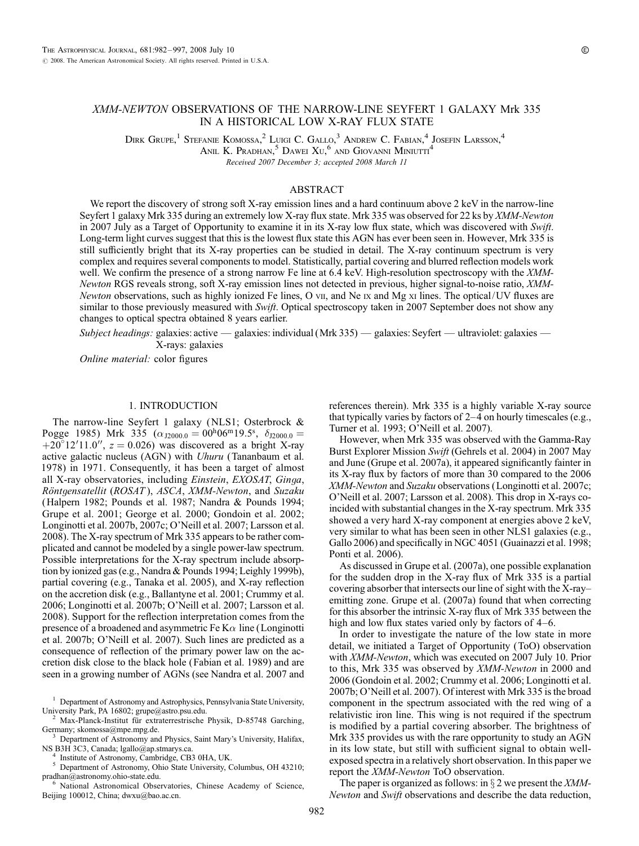## XMM-NEWTON OBSERVATIONS OF THE NARROW-LINE SEYFERT 1 GALAXY Mrk 335 IN A HISTORICAL LOW X-RAY FLUX STATE

DIRK GRUPE,<sup>1</sup> STEFANIE KOMOSSA,<sup>2</sup> LUIGI C. GALLO,<sup>3</sup> ANDREW C. FABIAN,<sup>4</sup> JOSEFIN LARSSON,<sup>4</sup>

Anil K. Pradhan,  $5$  Dawei  $Xu$ ,  $6$  and Giovanni Miniutti<sup>4</sup>

Received 2007 December 3; accepted 2008 March 11

# ABSTRACT

We report the discovery of strong soft X-ray emission lines and a hard continuum above 2 keV in the narrow-line Seyfert 1 galaxy Mrk 335 during an extremely low X-ray flux state. Mrk 335 was observed for 22 ks by XMM-Newton in 2007 July as a Target of Opportunity to examine it in its X-ray low flux state, which was discovered with Swift. Long-term light curves suggest that this is the lowest flux state this AGN has ever been seen in. However, Mrk 335 is still sufficiently bright that its X-ray properties can be studied in detail. The X-ray continuum spectrum is very complex and requires several components to model. Statistically, partial covering and blurred reflection models work well. We confirm the presence of a strong narrow Fe line at 6.4 keV. High-resolution spectroscopy with the XMM-Newton RGS reveals strong, soft X-ray emission lines not detected in previous, higher signal-to-noise ratio, XMM-Newton observations, such as highly ionized Fe lines, O vii, and Ne  $x$  and Mg  $x$  lines. The optical/UV fluxes are similar to those previously measured with Swift. Optical spectroscopy taken in 2007 September does not show any changes to optical spectra obtained 8 years earlier.

Subject headings: galaxies: active — galaxies: individual (Mrk 335) — galaxies: Seyfert — ultraviolet: galaxies — X-rays: galaxies

Online material: color figures

### 1. INTRODUCTION

The narrow-line Seyfert 1 galaxy (NLS1; Osterbrock & Pogge 1985) Mrk 335 ( $\alpha_{\text{J2000.0}} = 00^{\text{h}} 06^{\text{m}} 19.5^{\text{s}}$ ,  $\delta_{\text{J2000.0}} =$  $+20^{\circ}12'11.0''$ ,  $z = 0.026$ ) was discovered as a bright X-ray active galactic nucleus (AGN) with Uhuru (Tananbaum et al. 1978) in 1971. Consequently, it has been a target of almost all X-ray observatories, including Einstein, EXOSAT, Ginga, Röntgensatellit (ROSAT), ASCA, XMM-Newton, and Suzaku (Halpern 1982; Pounds et al. 1987; Nandra & Pounds 1994; Grupe et al. 2001; George et al. 2000; Gondoin et al. 2002; Longinotti et al. 2007b, 2007c; O'Neill et al. 2007; Larsson et al. 2008). The X-ray spectrum of Mrk 335 appears to be rather complicated and cannot be modeled by a single power-law spectrum. Possible interpretations for the X-ray spectrum include absorption by ionized gas (e.g., Nandra & Pounds 1994; Leighly 1999b), partial covering (e.g., Tanaka et al. 2005), and X-ray reflection on the accretion disk (e.g., Ballantyne et al. 2001; Crummy et al. 2006; Longinotti et al. 2007b; O'Neill et al. 2007; Larsson et al. 2008). Support for the reflection interpretation comes from the presence of a broadened and asymmetric Fe  $K\alpha$  line (Longinotti et al. 2007b; O'Neill et al. 2007). Such lines are predicted as a consequence of reflection of the primary power law on the accretion disk close to the black hole (Fabian et al. 1989) and are seen in a growing number of AGNs (see Nandra et al. 2007 and

<sup>3</sup> Department of Astronomy and Physics, Saint Mary's University, Halifax, NS\_B3H 3C3, Canada; lgallo@ap.stmarys.ca.

<sup>4</sup> Institute of Astronomy, Cambridge, CB3 0HA, UK.<br><sup>5</sup> Department of Astronomy, Ohio State University, Columbus, OH 43210; pradhan@astronomy.ohio-state.edu.<br>6 National Astronomical Observatories, Chinese Academy of Science,

Beijing 100012, China; dwxu@bao.ac.cn.

references therein). Mrk 335 is a highly variable X-ray source that typically varies by factors of  $2-4$  on hourly timescales (e.g., Turner et al. 1993; O'Neill et al. 2007).

However, when Mrk 335 was observed with the Gamma-Ray Burst Explorer Mission Swift (Gehrels et al. 2004) in 2007 May and June (Grupe et al. 2007a), it appeared significantly fainter in its X-ray flux by factors of more than 30 compared to the 2006 XMM-Newton and Suzaku observations (Longinotti et al. 2007c; O'Neill et al. 2007; Larsson et al. 2008). This drop in X-rays coincided with substantial changes in the X-ray spectrum. Mrk 335 showed a very hard X-ray component at energies above 2 keV, very similar to what has been seen in other NLS1 galaxies (e.g., Gallo 2006) and specifically in NGC 4051 (Guainazzi et al. 1998; Ponti et al. 2006).

As discussed in Grupe et al. (2007a), one possible explanation for the sudden drop in the X-ray flux of Mrk 335 is a partial covering absorber that intersects our line of sight with the  $X$ -rayemitting zone. Grupe et al. (2007a) found that when correcting for this absorber the intrinsic X-ray flux of Mrk 335 between the high and low flux states varied only by factors of  $4-6$ .

In order to investigate the nature of the low state in more detail, we initiated a Target of Opportunity (ToO) observation with XMM-Newton, which was executed on 2007 July 10. Prior to this, Mrk 335 was observed by XMM-Newton in 2000 and 2006 (Gondoin et al. 2002; Crummy et al. 2006; Longinotti et al. 2007b; O'Neill et al. 2007). Of interest with Mrk 335 is the broad component in the spectrum associated with the red wing of a relativistic iron line. This wing is not required if the spectrum is modified by a partial covering absorber. The brightness of Mrk 335 provides us with the rare opportunity to study an AGN in its low state, but still with sufficient signal to obtain wellexposed spectra in a relatively short observation. In this paper we report the XMM-Newton ToO observation.

The paper is organized as follows: in  $\S 2$  we present the *XMM*-Newton and Swift observations and describe the data reduction,

<sup>&</sup>lt;sup>1</sup> Department of Astronomy and Astrophysics, Pennsylvania State University, University Park, PA 16802; grupe@astro.psu.edu.

<sup>&</sup>lt;sup>2</sup> Max-Planck-Institut für extraterrestrische Physik, D-85748 Garching, Germany; skomossa@mpe.mpg.de.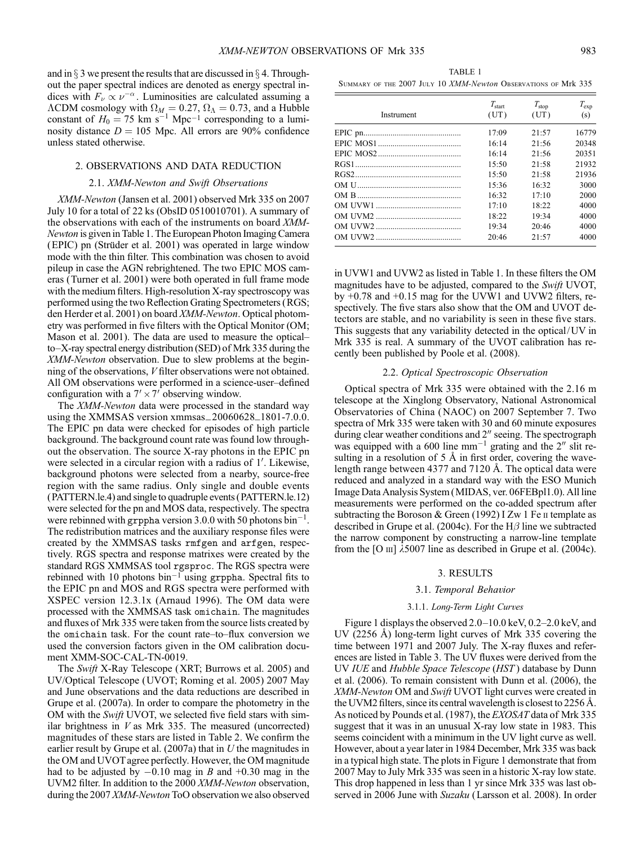and in  $\S$  3 we present the results that are discussed in  $\S$  4. Throughout the paper spectral indices are denoted as energy spectral indices with  $F_{\nu} \propto \nu^{-\alpha}$ . Luminosities are calculated assuming a  $\Lambda$ CDM cosmology with  $\Omega_M = 0.27$ ,  $\Omega_\Lambda = 0.73$ , and a Hubble constant of  $H_0 = 75$  km s<sup>-1</sup> Mpc<sup>-1</sup> corresponding to a luminosity distance  $D = 105$  Mpc. All errors are 90% confidence unless stated otherwise.

### 2. OBSERVATIONS AND DATA REDUCTION

## 2.1. XMM-Newton and Swift Observations

XMM-Newton (Jansen et al. 2001) observed Mrk 335 on 2007 July 10 for a total of 22 ks (ObsID 0510010701). A summary of the observations with each of the instruments on board XMM-Newton is given in Table 1. The European Photon Imaging Camera (EPIC) pn (Strüder et al. 2001) was operated in large window mode with the thin filter. This combination was chosen to avoid pileup in case the AGN rebrightened. The two EPIC MOS cameras (Turner et al. 2001) were both operated in full frame mode with the medium filters. High-resolution X-ray spectroscopy was performed using the two Reflection Grating Spectrometers (RGS; den Herder et al. 2001) on board XMM-Newton. Optical photometry was performed in five filters with the Optical Monitor (OM; Mason et al. 2001). The data are used to measure the opticalto $-X$ -ray spectral energy distribution (SED) of Mrk 335 during the XMM-Newton observation. Due to slew problems at the beginning of the observations, V filter observations were not obtained. All OM observations were performed in a science-user-defined configuration with a  $7' \times 7'$  observing window.

The XMM-Newton data were processed in the standard way using the XMMSAS version xmmsas\_20060628\_1801-7.0.0. The EPIC pn data were checked for episodes of high particle background. The background count rate was found low throughout the observation. The source X-ray photons in the EPIC pn were selected in a circular region with a radius of 1'. Likewise, background photons were selected from a nearby, source-free region with the same radius. Only single and double events (PATTERN.le.4) and single to quadruple events (PATTERN.le.12) were selected for the pn and MOS data, respectively. The spectra were rebinned with grppha version 3.0.0 with 50 photons  $\sin^{-1}$ . The redistribution matrices and the auxiliary response files were created by the XMMSAS tasks rmfgen and arfgen, respectively. RGS spectra and response matrixes were created by the standard RGS XMMSAS tool rgsproc. The RGS spectra were rebinned with 10 photons  $bin<sup>-1</sup>$  using grppha. Spectral fits to the EPIC pn and MOS and RGS spectra were performed with XSPEC version 12.3.1x (Arnaud 1996). The OM data were processed with the XMMSAS task omichain. The magnitudes and fluxes of Mrk 335 were taken from the source lists created by the omichain task. For the count rate-to-flux conversion we used the conversion factors given in the OM calibration document XMM-SOC-CAL-TN-0019.

The Swift X-Ray Telescope (XRT; Burrows et al. 2005) and UV/Optical Telescope (UVOT; Roming et al. 2005) 2007 May and June observations and the data reductions are described in Grupe et al. (2007a). In order to compare the photometry in the OM with the *Swift* UVOT, we selected five field stars with similar brightness in  $V$  as Mrk 335. The measured (uncorrected) magnitudes of these stars are listed in Table 2. We confirm the earlier result by Grupe et al.  $(2007a)$  that in U the magnitudes in the OM and UVOT agree perfectly. However, the OM magnitude had to be adjusted by  $-0.10$  mag in B and  $+0.30$  mag in the UVM2 filter. In addition to the 2000 XMM-Newton observation, during the 2007 XMM-Newton ToO observation we also observed

TABLE 1 Summary of the 2007 July 10 XMM-Newton Observations of Mrk 335

| Instrument | $T_{\rm start}$<br>(UT) | $T_{\rm stop}$<br>(UT) | $T_{\rm exp}$<br>(s) |
|------------|-------------------------|------------------------|----------------------|
|            | 17:09                   | 21:57                  | 16779                |
|            | 16:14                   | 21:56                  | 20348                |
|            | 16:14                   | 21:56                  | 20351                |
|            | 15:50                   | 21:58                  | 21932                |
|            | 15:50                   | 21:58                  | 21936                |
|            | 15:36                   | 16:32                  | 3000                 |
|            | 16:32                   | 17:10                  | 2000                 |
|            | 17:10                   | 18.22                  | 4000                 |
|            | 18:22                   | 19:34                  | 4000                 |
|            | 19:34                   | 20:46                  | 4000                 |
|            | 20:46                   | 21:57                  | 4000                 |

in UVW1 and UVW2 as listed in Table 1. In these filters the OM magnitudes have to be adjusted, compared to the Swift UVOT, by +0.78 and +0.15 mag for the UVW1 and UVW2 filters, respectively. The five stars also show that the OM and UVOT detectors are stable, and no variability is seen in these five stars. This suggests that any variability detected in the optical/UV in Mrk 335 is real. A summary of the UVOT calibration has recently been published by Poole et al. (2008).

#### 2.2. Optical Spectroscopic Observation

Optical spectra of Mrk 335 were obtained with the 2.16 m telescope at the Xinglong Observatory, National Astronomical Observatories of China (NAOC) on 2007 September 7. Two spectra of Mrk 335 were taken with 30 and 60 minute exposures during clear weather conditions and  $2''$  seeing. The spectrograph was equipped with a 600 line  $mm^{-1}$  grating and the 2" slit resulting in a resolution of  $5 \text{ Å}$  in first order, covering the wavelength range between 4377 and 7120 Å. The optical data were reduced and analyzed in a standard way with the ESO Munich Image Data Analysis System (MIDAS, ver. 06FEBpl1.0). All line measurements were performed on the co-added spectrum after subtracting the Boroson & Green (1992) I Zw 1 Fe  $\pi$  template as described in Grupe et al. (2004c). For the  $H\beta$  line we subtracted the narrow component by constructing a narrow-line template from the [O  $\text{III}$ ]  $\lambda$ 5007 line as described in Grupe et al. (2004c).

#### 3. RESULTS

### 3.1. Temporal Behavior

#### 3.1.1. Long-Term Light Curves

Figure 1 displays the observed 2.0-10.0 keV, 0.2-2.0 keV, and UV (2256  $\AA$ ) long-term light curves of Mrk 335 covering the time between 1971 and 2007 July. The X-ray fluxes and references are listed in Table 3. The UV fluxes were derived from the UV IUE and Hubble Space Telescope (HST) database by Dunn et al. (2006). To remain consistent with Dunn et al. (2006), the XMM-Newton OM and Swift UVOT light curves were created in the UVM2 filters, since its central wavelength is closest to  $2256 \text{ Å}$ . As noticed by Pounds et al. (1987), the *EXOSAT* data of Mrk 335 suggest that it was in an unusual X-ray low state in 1983. This seems coincident with a minimum in the UV light curve as well. However, about a year later in 1984 December, Mrk 335 was back in a typical high state. The plots in Figure 1 demonstrate that from 2007 May to July Mrk 335 was seen in a historic X-ray low state. This drop happened in less than 1 yr since Mrk 335 was last observed in 2006 June with Suzaku (Larsson et al. 2008). In order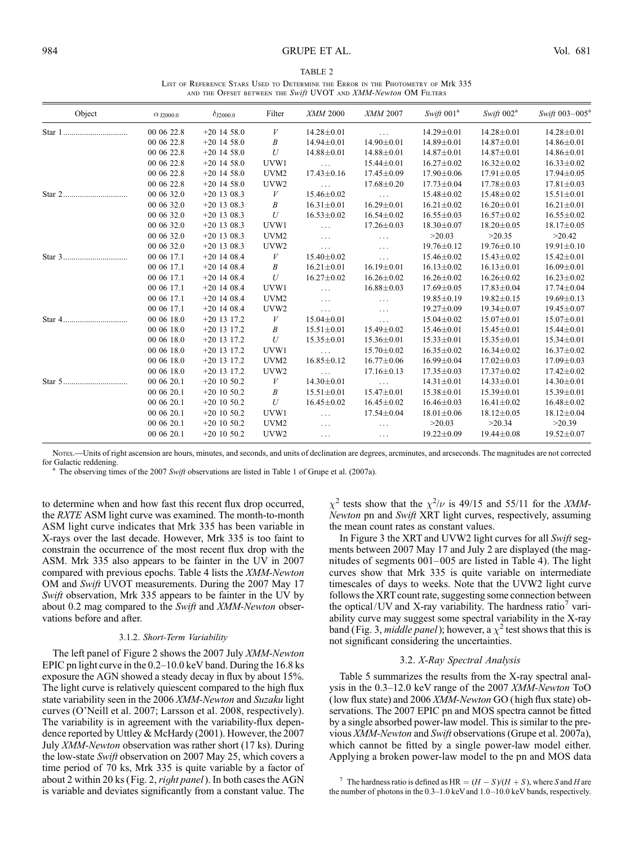#### 984 GRUPE ET AL. Vol. 681

| TABLE 2                                                                          |
|----------------------------------------------------------------------------------|
| LIST OF REFERENCE STARS USED TO DETERMINE THE ERROR IN THE PHOTOMETRY OF Mrk 335 |
| AND THE OFFSET BETWEEN THE Swift UVOT AND XMM-Newton OM FILTERS                  |

| Object   | $\alpha$ J2000.0 | $\delta_{\text{J2000.0}}$ | Filter           | XMM 2000             | XMM 2007         | Swift $001^a$    | Swift 002 <sup>a</sup> | Swift $003-005^{\circ}$ |
|----------|------------------|---------------------------|------------------|----------------------|------------------|------------------|------------------------|-------------------------|
| Star 1   | 00 06 22.8       | $+20$ 14 58.0             | V                | $14.28 \pm 0.01$     | $\cdots$         | $14.29 \pm 0.01$ | $14.28 \pm 0.01$       | $14.28 \pm 0.01$        |
|          | 00 06 22.8       | $+20$ 14 58.0             | Β                | $14.94 \pm 0.01$     | $14.90 \pm 0.01$ | 14.89±0.01       | $14.87 \pm 0.01$       | $14.86 \pm 0.01$        |
|          | 00 06 22.8       | $+20$ 14 58.0             | U                | 14.88±0.01           | 14.88±0.01       | $14.87 \pm 0.01$ | $14.87 \pm 0.01$       | $14.86 \pm 0.01$        |
|          | 00 06 22.8       | $+20$ 14 58.0             | UVW1             | $\sim$ $\sim$ $\sim$ | $15.44 \pm 0.01$ | $16.27 \pm 0.02$ | $16.32 \pm 0.02$       | $16.33 \pm 0.02$        |
|          | 00 06 22.8       | $+20$ 14 58.0             | UVM <sub>2</sub> | $17.43 \pm 0.16$     | $17.45 \pm 0.09$ | $17.90 \pm 0.06$ | $17.91 \pm 0.05$       | $17.94 \pm 0.05$        |
|          | 00 06 22.8       | $+20$ 14 58.0             | UVW <sub>2</sub> | $\ldots$             | $17.68 \pm 0.20$ | $17.73 \pm 0.04$ | $17.78 \pm 0.03$       | $17.81 \pm 0.03$        |
|          | 00 06 32.0       | $+20$ 13 08.3             | V                | 15.46±0.02           | $\cdots$         | $15.48 \pm 0.02$ | $15.48 \pm 0.02$       | $15.51 \pm 0.01$        |
|          | 00 06 32.0       | $+20$ 13 08.3             | B                | $16.31 \pm 0.01$     | $16.29 \pm 0.01$ | $16.21 \pm 0.02$ | $16.20 \pm 0.01$       | $16.21 \pm 0.01$        |
|          | 00 06 32.0       | $+20$ 13 08.3             | $\mathcal U$     | $16.53 \pm 0.02$     | $16.54 \pm 0.02$ | $16.55 \pm 0.03$ | $16.57 \pm 0.02$       | $16.55 \pm 0.02$        |
|          | 00 06 32.0       | $+20$ 13 08.3             | UVW1             | $\sim$ $\sim$ $\sim$ | $17.26 \pm 0.03$ | $18.30 \pm 0.07$ | $18.20 \pm 0.05$       | $18.17 \pm 0.05$        |
|          | 00 06 32.0       | $+20$ 13 08.3             | UVM <sub>2</sub> | $\ldots$             | $\cdots$         | >20.03           | >20.35                 | >20.42                  |
|          | 00 06 32.0       | $+20$ 13 08.3             | UVW <sub>2</sub> | $\sim$ $\sim$ $\sim$ | $\cdots$         | $19.76 \pm 0.12$ | $19.76 \pm 0.10$       | $19.91 \pm 0.10$        |
|          | 00 06 17.1       | $+20$ 14 08.4             | V                | $15.40 \pm 0.02$     | $\ldots$         | $15.46 \pm 0.02$ | $15.43 \pm 0.02$       | $15.42 \pm 0.01$        |
|          | 00 06 17.1       | $+20$ 14 08.4             | B                | $16.21 \pm 0.01$     | $16.19 \pm 0.01$ | $16.13 \pm 0.02$ | $16.13 \pm 0.01$       | $16.09 \pm 0.01$        |
|          | 00 06 17.1       | $+20$ 14 08.4             | $\boldsymbol{U}$ | $16.27 \pm 0.02$     | $16.26 \pm 0.02$ | $16.26 \pm 0.02$ | $16.26 \pm 0.02$       | $16.23 \pm 0.02$        |
|          | 00 06 17.1       | $+20$ 14 08.4             | UVW1             | $\ldots$             | $16.88 \pm 0.03$ | $17.69 \pm 0.05$ | $17.83 \pm 0.04$       | $17.74 \pm 0.04$        |
|          | 00 06 17.1       | $+20$ 14 08.4             | UVM <sub>2</sub> | $\ldots$             | $\ldots$         | $19.85 \pm 0.19$ | $19.82 \pm 0.15$       | $19.69 \pm 0.13$        |
|          | 00 06 17.1       | $+20$ 14 08.4             | UVW <sub>2</sub> | $\ldots$             | $\cdots$         | $19.27 \pm 0.09$ | $19.34 \pm 0.07$       | $19.45 \pm 0.07$        |
| Star $4$ | 00 06 18.0       | $+20$ 13 17.2             | V                | $15.04 \pm 0.01$     | $\ldots$         | $15.04 \pm 0.02$ | $15.07 \pm 0.01$       | $15.07 \pm 0.01$        |
|          | 00 06 18.0       | $+20$ 13 17.2             | B                | $15.51 \pm 0.01$     | 15.49±0.02       | $15.46 \pm 0.01$ | $15.45 \pm 0.01$       | $15.44 \pm 0.01$        |
|          | 00 06 18.0       | $+20$ 13 17.2             | U                | $15.35 \pm 0.01$     | $15.36 \pm 0.01$ | $15.33 \pm 0.01$ | $15.35 \pm 0.01$       | $15.34 \pm 0.01$        |
|          | 00 06 18.0       | $+20$ 13 17.2             | UVW1             | $\ldots$             | $15.70 \pm 0.02$ | $16.35 \pm 0.02$ | $16.34 \pm 0.02$       | $16.37 \pm 0.02$        |
|          | 00 06 18.0       | $+20$ 13 17.2             | UVM <sub>2</sub> | $16.85 \pm 0.12$     | $16.77 \pm 0.06$ | $16.99 \pm 0.04$ | $17.02 \pm 0.03$       | $17.09 \pm 0.03$        |
|          | 00 06 18.0       | $+20$ 13 17.2             | UVW2             | $\ldots$             | $17.16 \pm 0.13$ | $17.35 \pm 0.03$ | $17.37 \pm 0.02$       | $17.42 \pm 0.02$        |
| Star 5   | 00 06 20.1       | $+20$ 10 50.2             | V                | $14.30 \pm 0.01$     | $\ldots$         | $14.31 \pm 0.01$ | $14.33 \pm 0.01$       | $14.30 \pm 0.01$        |
|          | 00 06 20.1       | $+20$ 10 50.2             | B                | $15.51 \pm 0.01$     | $15.47 \pm 0.01$ | $15.38 \pm 0.01$ | $15.39 \pm 0.01$       | 15.39±0.01              |
|          | 00 06 20.1       | $+20$ 10 50.2             | U                | $16.45 \pm 0.02$     | $16.45 \pm 0.02$ | $16.46 \pm 0.03$ | $16.41 \pm 0.02$       | $16.48 \pm 0.02$        |
|          | 00 06 20.1       | $+20$ 10 50.2             | UVW1             | $\cdots$             | $17.54 \pm 0.04$ | $18.01 \pm 0.06$ | $18.12 \pm 0.05$       | $18.12 \pm 0.04$        |
|          | 00 06 20.1       | $+20$ 10 50.2             | UVM <sub>2</sub> | $\ldots$             | $\cdots$         | >20.03           | >20.34                 | >20.39                  |
|          | 00 06 20.1       | $+20$ 10 50.2             | UVW <sub>2</sub> | $\ldots$             | $\cdots$         | $19.22 \pm 0.09$ | $19.44 \pm 0.08$       | $19.52 \pm 0.07$        |

Nores.—Units of right ascension are hours, minutes, and seconds, and units of declination are degrees, arcminutes, and arcseconds. The magnitudes are not corrected for Galactic reddening.

The observing times of the 2007 Swift observations are listed in Table 1 of Grupe et al. (2007a).

to determine when and how fast this recent flux drop occurred, the RXTE ASM light curve was examined. The month-to-month ASM light curve indicates that Mrk 335 has been variable in X-rays over the last decade. However, Mrk 335 is too faint to constrain the occurrence of the most recent flux drop with the ASM. Mrk 335 also appears to be fainter in the UV in 2007 compared with previous epochs. Table 4 lists the XMM-Newton OM and Swift UVOT measurements. During the 2007 May 17 Swift observation, Mrk 335 appears to be fainter in the UV by about 0.2 mag compared to the Swift and XMM-Newton observations before and after.

#### 3.1.2. Short-Term Variability

The left panel of Figure 2 shows the 2007 July XMM-Newton EPIC pn light curve in the  $0.2-10.0$  keV band. During the 16.8 ks exposure the AGN showed a steady decay in flux by about 15%. The light curve is relatively quiescent compared to the high flux state variability seen in the 2006 XMM-Newton and Suzaku light curves (O'Neill et al. 2007; Larsson et al. 2008, respectively). The variability is in agreement with the variability-flux dependence reported by Uttley & McHardy (2001). However, the 2007 July XMM-Newton observation was rather short (17 ks). During the low-state Swift observation on 2007 May 25, which covers a time period of 70 ks, Mrk 335 is quite variable by a factor of about 2 within 20 ks (Fig. 2, *right panel*). In both cases the AGN is variable and deviates significantly from a constant value. The

 $\chi^2$  tests show that the  $\chi^2/\nu$  is 49/15 and 55/11 for the *XMM*-Newton pn and Swift XRT light curves, respectively, assuming the mean count rates as constant values.

In Figure 3 the XRT and UVW2 light curves for all Swift segments between 2007 May 17 and July 2 are displayed (the magnitudes of segments  $001-005$  are listed in Table 4). The light curves show that Mrk 335 is quite variable on intermediate timescales of days to weeks. Note that the UVW2 light curve follows the XRT count rate, suggesting some connection between the optical/UV and X-ray variability. The hardness ratio<sup> $\prime$ </sup> variability curve may suggest some spectral variability in the X-ray band (Fig. 3, middle panel); however, a  $\chi^2$  test shows that this is not significant considering the uncertainties.

## 3.2. X-Ray Spectral Analysis

Table 5 summarizes the results from the X-ray spectral analysis in the  $0.3-12.0$  keV range of the 2007 XMM-Newton ToO (low flux state) and 2006 XMM-Newton GO (high flux state) observations. The 2007 EPIC pn and MOS spectra cannot be fitted by a single absorbed power-law model. This is similar to the previous XMM-Newton and Swift observations (Grupe et al. 2007a), which cannot be fitted by a single power-law model either. Applying a broken power-law model to the pn and MOS data

<sup>&</sup>lt;sup>7</sup> The hardness ratio is defined as HR =  $(H - S)/(H + S)$ , where S and H are the number of photons in the  $0.3-1.0$  keV and  $1.0-10.0$  keV bands, respectively.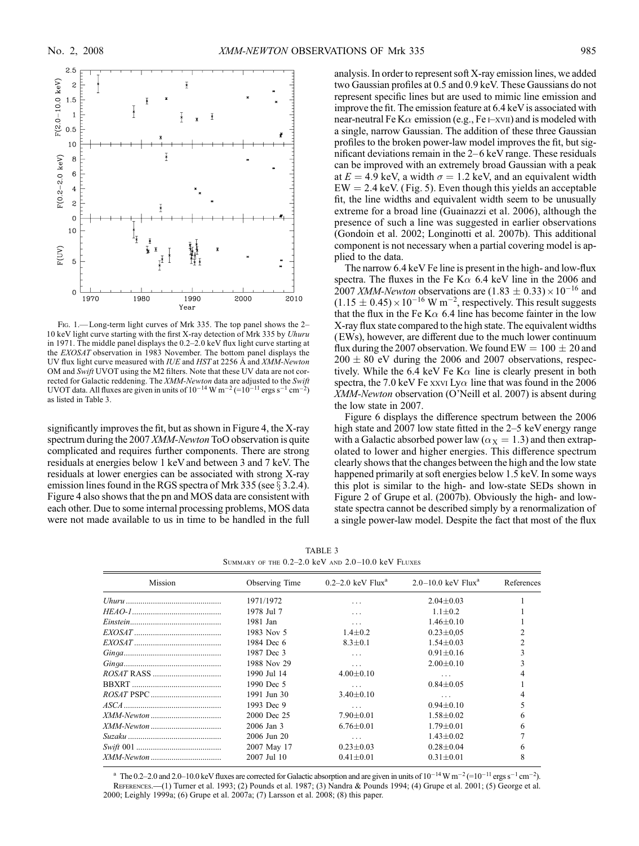

FIG. 1.—Long-term light curves of Mrk 335. The top panel shows the 2-10 keV light curve starting with the first X-ray detection of Mrk 335 by Uhuru in 1971. The middle panel displays the  $0.2-2.0$  keV flux light curve starting at the EXOSAT observation in 1983 November. The bottom panel displays the UV flux light curve measured with IUE and HST at 2256 Å and XMM-Newton OM and Swift UVOT using the M2 filters. Note that these UV data are not corrected for Galactic reddening. The XMM-Newton data are adjusted to the Swift UVOT data. All fluxes are given in units of  $10^{-14}$  W m<sup>-2</sup> (= $10^{-11}$  ergs s<sup>-1</sup> cm<sup>-2</sup>) as listed in Table 3.

significantly improves the fit, but as shown in Figure 4, the X-ray spectrum during the 2007 *XMM-Newton* ToO observation is quite complicated and requires further components. There are strong residuals at energies below 1 keV and between 3 and 7 keV. The residuals at lower energies can be associated with strong X-ray emission lines found in the RGS spectra of Mrk 335 (see  $\S 3.2.4$ ). Figure 4 also shows that the pn and MOS data are consistent with each other. Due to some internal processing problems, MOS data were not made available to us in time to be handled in the full

analysis. In order to represent soft X-ray emission lines, we added two Gaussian profiles at 0.5 and 0.9 keV. These Gaussians do not represent specific lines but are used to mimic line emission and improve the fit. The emission feature at 6.4 keV is associated with near-neutral Fe K $\alpha$  emission (e.g., Fe i-xvii) and is modeled with a single, narrow Gaussian. The addition of these three Gaussian profiles to the broken power-law model improves the fit, but significant deviations remain in the  $2-6$  keV range. These residuals can be improved with an extremely broad Gaussian with a peak at  $E = 4.9$  keV, a width  $\sigma = 1.2$  keV, and an equivalent width  $EW = 2.4$  keV. (Fig. 5). Even though this yields an acceptable fit, the line widths and equivalent width seem to be unusually extreme for a broad line (Guainazzi et al. 2006), although the presence of such a line was suggested in earlier observations (Gondoin et al. 2002; Longinotti et al. 2007b). This additional component is not necessary when a partial covering model is applied to the data.

The narrow 6.4 keV Fe line is present in the high- and low-flux spectra. The fluxes in the Fe K $\alpha$  6.4 keV line in the 2006 and 2007 *XMM-Newton* observations are  $(1.83 \pm 0.33) \times 10^{-16}$  and  $(1.15 \pm 0.45) \times 10^{-16}$  W m<sup>-2</sup>, respectively. This result suggests that the flux in the Fe K $\alpha$  6.4 line has become fainter in the low X-ray flux state compared to the high state. The equivalent widths (EWs), however, are different due to the much lower continuum flux during the 2007 observation. We found  $EW = 100 \pm 20$  and  $200 \pm 80$  eV during the 2006 and 2007 observations, respectively. While the 6.4 keV Fe K $\alpha$  line is clearly present in both spectra, the 7.0 keV Fe xxvi Ly $\alpha$  line that was found in the 2006 XMM-Newton observation (O'Neill et al. 2007) is absent during the low state in 2007.

Figure 6 displays the difference spectrum between the 2006 high state and 2007 low state fitted in the  $2-5$  keV energy range with a Galactic absorbed power law ( $\alpha_{\rm X} = 1.3$ ) and then extrapolated to lower and higher energies. This difference spectrum clearly shows that the changes between the high and the low state happened primarily at soft energies below 1.5 keV. In some ways this plot is similar to the high- and low-state SEDs shown in Figure 2 of Grupe et al. (2007b). Obviously the high- and lowstate spectra cannot be described simply by a renormalization of a single power-law model. Despite the fact that most of the flux

TABLE 3 SUMMARY OF THE  $0.2-2.0$  keV and  $2.0-10.0$  keV Fluxes

|                                                              | $2.0 - 10.0$ keV Flux <sup>a</sup> |            |
|--------------------------------------------------------------|------------------------------------|------------|
| $0.2-2.0$ keV Flux <sup>a</sup><br>Mission<br>Observing Time |                                    | References |
| 1971/1972<br>.                                               | $2.04 + 0.03$                      |            |
| 1978 Jul 7<br>$\cdots$                                       | $1.1 + 0.2$                        |            |
| 1981 Jan<br>$\cdots$                                         | $1.46 + 0.10$                      |            |
| 1983 Nov 5<br>$1.4 + 0.2$                                    | $0.23 \pm 0.05$                    |            |
| 1984 Dec 6<br>$8.3 + 0.1$                                    | $1.54 + 0.03$                      |            |
| 1987 Dec 3<br>.                                              | $0.91 + 0.16$                      |            |
| 1988 Nov 29<br>$\cdots$                                      | $2.00+0.10$                        |            |
| 1990 Jul 14<br>$4.00+0.10$                                   | .                                  |            |
| 1990 Dec 5<br>.                                              | $0.84 \pm 0.05$                    |            |
| 1991 Jun 30<br>$3.40 + 0.10$                                 | .                                  |            |
| 1993 Dec 9<br>.                                              | $0.94 + 0.10$                      |            |
| 2000 Dec 25<br>$7.90 \pm 0.01$                               | $1.58 \pm 0.02$                    | n          |
| 2006 Jan 3<br>$6.76 + 0.01$                                  | $1.79 \pm 0.01$                    |            |
| 2006 Jun 20<br>.                                             | $1.43 + 0.02$                      |            |
| 2007 May 17<br>$0.23 + 0.03$                                 | $0.28 + 0.04$                      |            |
| 2007 Jul 10<br>$0.41 \pm 0.01$                               | $0.31 \pm 0.01$                    | 8          |

<sup>a</sup> The 0.2–2.0 and 2.0–10.0 keV fluxes are corrected for Galactic absorption and are given in units of  $10^{-14}$  W m<sup>-2</sup> (=10<sup>-11</sup> ergs s<sup>-1</sup> cm<sup>-2</sup>). References.—(1) Turner et al. 1993; (2) Pounds et al. 1987; (3) Nandra & Pounds 1994; (4) Grupe et al. 2001; (5) George et al. 2000; Leighly 1999a; (6) Grupe et al. 2007a; (7) Larsson et al. 2008; (8) this paper.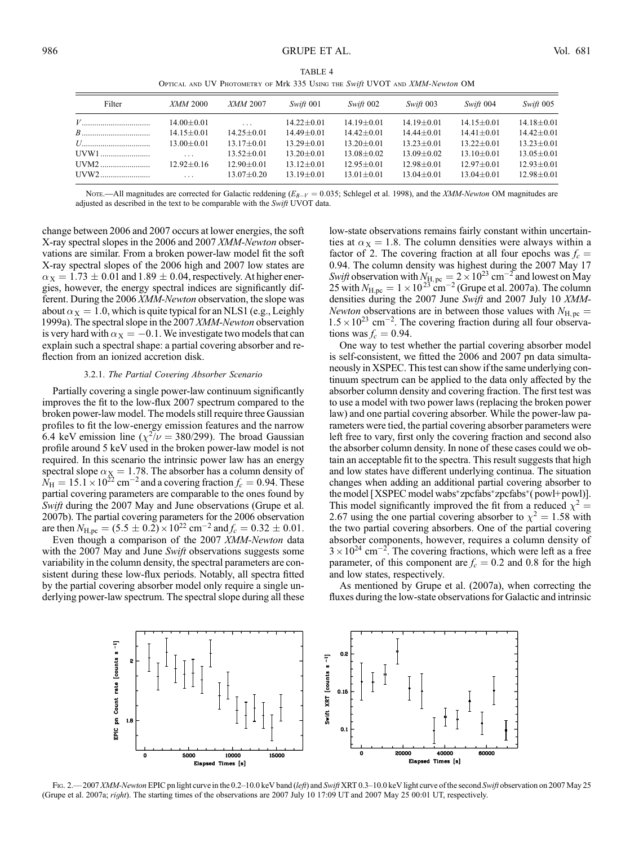| TABLE 4                                                                     |
|-----------------------------------------------------------------------------|
| OPTICAL AND UV PHOTOMETRY OF Mrk 335 USING THE Swift UVOT AND XMM-Newton OM |
|                                                                             |

| Filter | <i>XMM</i> 2000         | XMM 2007         | Swift 001      | Swift 002      | Swift 003      | Swift 004      | Swift 005        |
|--------|-------------------------|------------------|----------------|----------------|----------------|----------------|------------------|
|        | $14.00 + 0.01$          | $\cdot$          | $14.22 + 0.01$ | $14.19 + 0.01$ | $14.19 + 0.01$ | $14.15 + 0.01$ | $14.18 \pm 0.01$ |
|        | $14.15 + 0.01$          | $14.25 \pm 0.01$ | $14.49 + 0.01$ | $14.42 + 0.01$ | $14.44 + 0.01$ | $14.41 + 0.01$ | $14.42 + 0.01$   |
|        | $13.00 + 0.01$          | $13.17 + 0.01$   | $13.29 + 0.01$ | $13.20 + 0.01$ | $13.23 + 0.01$ | $13.22 + 0.01$ | $13.23 + 0.01$   |
| UVW1   | $\cdot$ $\cdot$ $\cdot$ | $13.52 + 0.01$   | $13.20 + 0.01$ | $13.08 + 0.02$ | $13.09 + 0.02$ | $13.10 + 0.01$ | $13.05 + 0.01$   |
|        | $12.92 + 0.16$          | $12.90 + 0.01$   | $13.12 + 0.01$ | $12.95 + 0.01$ | $12.98 + 0.01$ | $12.97 + 0.01$ | $12.93 + 0.01$   |
|        | $\cdot$ .               | $13.07 + 0.20$   | $13.19 + 0.01$ | $13.01 + 0.01$ | $13.04 + 0.01$ | $13.04 + 0.01$ | $12.98 + 0.01$   |

Nore.—All magnitudes are corrected for Galactic reddening  $(E_{B-V} = 0.035$ ; Schlegel et al. 1998), and the *XMM-Newton* OM magnitudes are adjusted as described in the text to be comparable with the Swift UVOT data.

change between 2006 and 2007 occurs at lower energies, the soft X-ray spectral slopes in the 2006 and 2007 XMM-Newton observations are similar. From a broken power-law model fit the soft X-ray spectral slopes of the 2006 high and 2007 low states are  $\alpha_X = 1.73 \pm 0.01$  and 1.89  $\pm$  0.04, respectively. At higher energies, however, the energy spectral indices are significantly different. During the 2006 *XMM-Newton* observation, the slope was about  $\alpha$ <sub>X</sub> = 1.0, which is quite typical for an NLS1 (e.g., Leighly 1999a). The spectral slope in the 2007 XMM-Newton observation is very hard with  $\alpha_X = -0.1$ . We investigate two models that can explain such a spectral shape: a partial covering absorber and reflection from an ionized accretion disk.

#### 3.2.1. The Partial Covering Absorber Scenario

Partially covering a single power-law continuum significantly improves the fit to the low-flux 2007 spectrum compared to the broken power-law model. The models still require three Gaussian profiles to fit the low-energy emission features and the narrow 6.4 keV emission line ( $\chi^2/\nu = 380/299$ ). The broad Gaussian profile around 5 keV used in the broken power-law model is not required. In this scenario the intrinsic power law has an energy spectral slope  $\alpha$ <sub>X</sub> = 1.78. The absorber has a column density of  $\hat{N}_{\rm H} = 15.1 \times 10^{22}$  cm<sup>-2</sup> and a covering fraction  $f_c = 0.94$ . These partial covering parameters are comparable to the ones found by Swift during the 2007 May and June observations (Grupe et al. 2007b). The partial covering parameters for the 2006 observation are then  $N_{\text{H,pc}} = (5.5 \pm 0.2) \times 10^{22} \text{ cm}^{-2}$  and  $f_c = 0.32 \pm 0.01$ .

Even though a comparison of the 2007 XMM-Newton data with the 2007 May and June Swift observations suggests some variability in the column density, the spectral parameters are consistent during these low-flux periods. Notably, all spectra fitted by the partial covering absorber model only require a single underlying power-law spectrum. The spectral slope during all these low-state observations remains fairly constant within uncertainties at  $\alpha_X = 1.8$ . The column densities were always within a factor of 2. The covering fraction at all four epochs was  $f_c =$ 0:94. The column density was highest during the 2007 May 17 Swift observation with  $N_{\text{H, pc}} = 2 \times 10^{23} \text{ cm}^{-2}$  and lowest on May 25 with  $N_{\text{H,pc}} = 1 \times 10^{23} \text{ cm}^{-2}$  (Grupe et al. 2007a). The column densities during the 2007 June Swift and 2007 July 10 XMM-Newton observations are in between those values with  $N_{\text{H, pc}} =$  $1.5 \times 10^{23}$  cm<sup>-2</sup>. The covering fraction during all four observations was  $f_c = 0.94$ .

One way to test whether the partial covering absorber model is self-consistent, we fitted the 2006 and 2007 pn data simultaneously in XSPEC. This test can show if the same underlying continuum spectrum can be applied to the data only affected by the absorber column density and covering fraction. The first test was to use a model with two power laws (replacing the broken power law) and one partial covering absorber. While the power-law parameters were tied, the partial covering absorber parameters were left free to vary, first only the covering fraction and second also the absorber column density. In none of these cases could we obtain an acceptable fit to the spectra. This result suggests that high and low states have different underlying continua. The situation changes when adding an additional partial covering absorber to the model [XSPEC model wabs\*zpcfabs\*zpcfabs\*( powl+powl)]. This model significantly improved the fit from a reduced  $\chi^2$  = 2.67 using the one partial covering absorber to  $\chi^2 = 1.58$  with the two partial covering absorbers. One of the partial covering absorber components, however, requires a column density of  $3 \times 10^{24}$  cm<sup>-2</sup>. The covering fractions, which were left as a free parameter, of this component are  $f_c = 0.2$  and 0.8 for the high and low states, respectively.

As mentioned by Grupe et al. (2007a), when correcting the fluxes during the low-state observations for Galactic and intrinsic



FIG. 2.—2007 XMM-Newton EPIC pn light curve in the 0.2-10.0 keV band (left) and Swift XRT 0.3-10.0 keV light curve of the second Swift observation on 2007 May 25 (Grupe et al. 2007a; *right*). The starting times of the observations are 2007 July 10 17:09 UT and 2007 May 25 00:01 UT, respectively.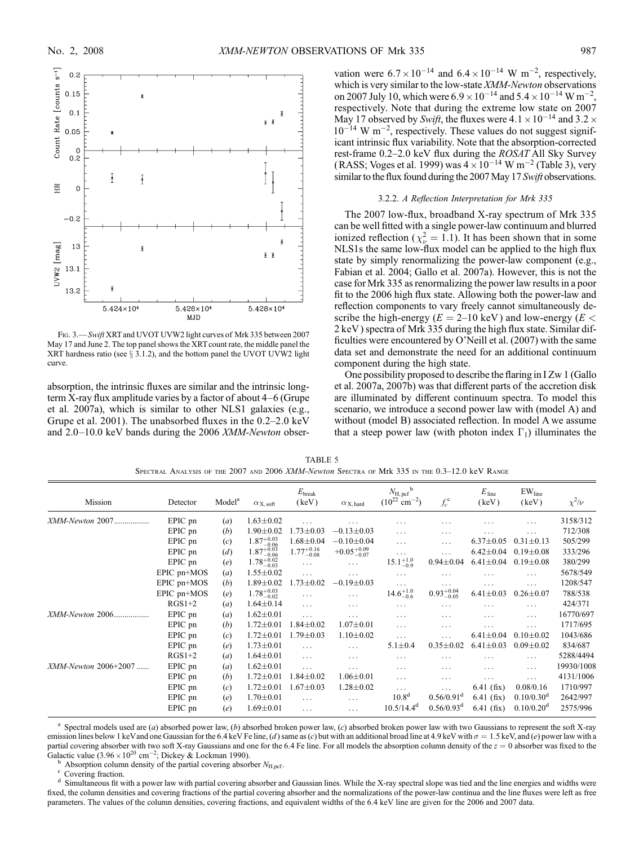

FIG. 3. - Swift XRT and UVOT UVW2 light curves of Mrk 335 between 2007 May 17 and June 2. The top panel shows the XRT count rate, the middle panel the XRT hardness ratio (see  $\S$  3.1.2), and the bottom panel the UVOT UVW2 light curve.

absorption, the intrinsic fluxes are similar and the intrinsic longterm X-ray flux amplitude varies by a factor of about  $4-6$  (Grupe et al. 2007a), which is similar to other NLS1 galaxies (e.g., Grupe et al. 2001). The unabsorbed fluxes in the  $0.2-2.0 \text{ keV}$ and  $2.0-10.0$  keV bands during the 2006 XMM-Newton obser-

vation were  $6.7 \times 10^{-14}$  and  $6.4 \times 10^{-14}$  W m<sup>-2</sup>, respectively, which is very similar to the low-state XMM-Newton observations on 2007 July 10, which were  $6.9 \times 10^{-14}$  and  $5.4 \times 10^{-14}$  W m<sup>-2</sup>, respectively. Note that during the extreme low state on 2007 May 17 observed by Swift, the fluxes were  $4.1 \times 10^{-14}$  and  $3.2 \times$  $10^{-14}$  W m<sup>-2</sup>, respectively. These values do not suggest significant intrinsic flux variability. Note that the absorption-corrected rest-frame 0.2-2.0 keV flux during the ROSAT All Sky Survey (RASS; Voges et al. 1999) was  $4 \times 10^{-14}$  W m<sup>-2</sup> (Table 3), very similar to the flux found during the 2007 May 17 Swift observations.

### 3.2.2. A Reflection Interpretation for Mrk 335

The 2007 low-flux, broadband X-ray spectrum of Mrk 335 can be well fitted with a single power-law continuum and blurred ionized reflection ( $\chi^2_{\nu} = 1.1$ ). It has been shown that in some NLS1s the same low-flux model can be applied to the high flux state by simply renormalizing the power-law component (e.g., Fabian et al. 2004; Gallo et al. 2007a). However, this is not the case for Mrk 335 as renormalizing the power law results in a poor fit to the 2006 high flux state. Allowing both the power-law and reflection components to vary freely cannot simultaneously describe the high-energy ( $E = 2{\text -}10 \text{ keV}$ ) and low-energy ( $E <$ 2 keV ) spectra of Mrk 335 during the high flux state. Similar difficulties were encountered by O'Neill et al. (2007) with the same data set and demonstrate the need for an additional continuum component during the high state.

One possibility proposed to describe the flaring in I Zw 1 (Gallo et al. 2007a, 2007b) was that different parts of the accretion disk are illuminated by different continuum spectra. To model this scenario, we introduce a second power law with (model A) and without (model B) associated reflection. In model A we assume that a steep power law (with photon index  $\Gamma_1$ ) illuminates the

|  |  | TABLE 5                                                                                               |  |  |  |
|--|--|-------------------------------------------------------------------------------------------------------|--|--|--|
|  |  | Spectral Analysis of the 2007 and 2006 <i>XMM-Newton</i> Spectra of Mrk 335 in the 0.3–12.0 keV Range |  |  |  |

| Mission              | Detector         | Model <sup>a</sup> | $\alpha_{\rm X,\,soft}$ | $E_{\rm break}$<br>(keV) | $\alpha_{\,\rm X,\,hard}$ | $N_{\rm H, \, pcf}$ <sup>b</sup><br>$(10^{22} \text{ cm}^{-2})$ | $f_c^{\rm c}$          | $E_{\text{line}}$<br>(keV) | EW <sub>line</sub><br>(keV) | $\chi^2/\nu$ |
|----------------------|------------------|--------------------|-------------------------|--------------------------|---------------------------|-----------------------------------------------------------------|------------------------|----------------------------|-----------------------------|--------------|
| XMM-Newton 2007      | EPIC pn          | (a)                | $1.63 \pm 0.02$         | .                        | .                         | .                                                               | .                      | .                          | $\cdots$                    | 3158/312     |
|                      | EPIC pn          | (b)                | $1.90 \pm 0.02$         | $1.73 \pm 0.03$          | $-0.13 \pm 0.03$          | $\ddots$                                                        | $\cdots$               | .                          | $\cdots$                    | 712/308      |
|                      | EPIC pn          | (c)                | $1.87^{+0.03}_{-0.06}$  | $1.68 \pm 0.04$          | $-0.10 \pm 0.04$          | $\cdots$                                                        | $\cdots$               | $6.37 \pm 0.05$            | $0.31 \pm 0.13$             | 505/299      |
|                      | EPIC pn          | (d)                | $1.87^{+0.03}_{-0.06}$  | $1.77^{+0.16}_{-0.08}$   | $+0.05^{+0.09}_{-0.07}$   | $\cdots$                                                        | $\cdots$               | $6.42 \pm 0.04$            | $0.19 \pm 0.08$             | 333/296      |
|                      | EPIC pn          | (e)                | $1.78_{-0.03}^{+0.02}$  | $\cdots$                 | $\cdots$                  | $15.1_{-0.9}^{+1.0}$                                            | $0.94 \pm 0.04$        | $6.41 \pm 0.04$            | $0.19 \pm 0.08$             | 380/299      |
|                      | EPIC pn+MOS      | (a)                | $1.55 \pm 0.02$         | $\ldots$                 | $\cdots$                  | $\cdots$                                                        | $\cdots$               | .                          | $\cdots$                    | 5678/549     |
|                      | $EPIC$ pn+ $MOS$ | (b)                | $1.89 \pm 0.02$         | $1.73 \pm 0.02$          | $-0.19 \pm 0.03$          | $\cdots$                                                        | .                      | .                          | $\cdots$                    | 1208/547     |
|                      | $EPIC$ pn+ $MOS$ | (e)                | $1.78^{+0.03}_{-0.02}$  | .                        | $\cdots$                  | $14.6^{+1.0}_{-0.6}$                                            | $0.93^{+0.04}_{-0.05}$ | $6.41 \pm 0.03$            | $0.26 \pm 0.07$             | 788/538      |
|                      | $RGS1+2$         | (a)                | $1.64 \pm 0.14$         | $\ldots$                 | $\cdots$                  | $\cdots$                                                        | .                      | $\cdots$                   | $\cdots$                    | 424/371      |
| XMM-Newton 2006      | EPIC pn          | (a)                | $1.62 \pm 0.01$         | $\ldots$                 | $\ddots$                  | $\cdots$                                                        | $\cdots$               | .                          | $\cdots$                    | 16770/697    |
|                      | EPIC pn          | (b)                | $1.72 \pm 0.01$         | $1.84 \pm 0.02$          | $1.07 \pm 0.01$           | $\cdots$                                                        | $\cdots$               | .                          | $\cdots$                    | 1717/695     |
|                      | EPIC pn          | (c)                | $1.72 \pm 0.01$         | $1.79 \pm 0.03$          | $1.10 \pm 0.02$           | $\cdots$                                                        | $\cdots$               | $6.41 \pm 0.04$            | $0.10 \pm 0.02$             | 1043/686     |
|                      | EPIC pn          | (e)                | $1.73 \pm 0.01$         | $\ldots$                 | $\cdots$                  | $5.1 \pm 0.4$                                                   | $0.35 \pm 0.02$        | $6.41 \pm 0.03$            | $0.09 + 0.02$               | 834/687      |
|                      | $RGS1+2$         | (a)                | $1.64 \pm 0.01$         | $\ldots$                 | $\cdots$                  | $\cdots$                                                        | $\cdots$               | $\cdots$                   | $\cdots$                    | 5288/4494    |
| XMM-Newton 2006+2007 | EPIC pn          | (a)                | $1.62 \pm 0.01$         | $\cdots$                 | $\cdots$                  | $\cdots$                                                        | $\cdots$               | $\cdots$                   | $\cdots$                    | 19930/1008   |
|                      | EPIC pn          | (b)                | $1.72 \pm 0.01$         | $1.84 \pm 0.02$          | $1.06 \pm 0.01$           | $\cdots$                                                        | $\cdots$               | .                          | $\cdots$                    | 4131/1006    |
|                      | EPIC pn          | (c)                | $1.72 \pm 0.01$         | $1.67 \pm 0.03$          | $1.28 \pm 0.02$           | $\cdots$                                                        | .                      | $6.41$ (fix)               | 0.08/0.16                   | 1710/997     |
|                      | EPIC pn          | (e)                | $1.70 \pm 0.01$         | $\cdots$                 | $\cdots$                  | 10.8 <sup>d</sup>                                               | 0.56/0.91 <sup>d</sup> | $6.41$ (fix)               | $0.10/0.30^d$               | 2642/997     |
|                      | EPIC pn          | (e)                | $1.69 \pm 0.01$         | $\ldots$                 | $\cdots$                  | $10.5/14.4^d$                                                   | $0.56/0.93^d$          | $6.41$ (fix)               | $0.10/0.20^d$               | 2575/996     |

 $a$  Spectral models used are (a) absorbed power law, (b) absorbed broken power law, (c) absorbed broken power law with two Gaussians to represent the soft X-ray emission lines below 1 keV and one Gaussian for the 6.4 keV Fe line, (d) same as (c) but with an additional broad line at 4.9 keV with  $\sigma = 1.5$  keV, and (e) power law with a partial covering absorber with two soft X-ray Gaussians and one for the 6.4 Fe line. For all models the absorption column density of the  $z = 0$  absorber was fixed to the Galactic value  $(3.96 \times 10^{20} \text{ cm}^{-2})$ 

b Absorption column density of the partial covering absorber N<sub>H,pef</sub>.<br>
<sup>c</sup> Covering fraction.<br>
<sup>d</sup> Simultaneous fit with a power law with partial covering absorber and Gaussian lines. While the X-ray spectral slope was ti fixed, the column densities and covering fractions of the partial covering absorber and the normalizations of the power-law continua and the line fluxes were left as free parameters. The values of the column densities, covering fractions, and equivalent widths of the 6.4 keV line are given for the 2006 and 2007 data.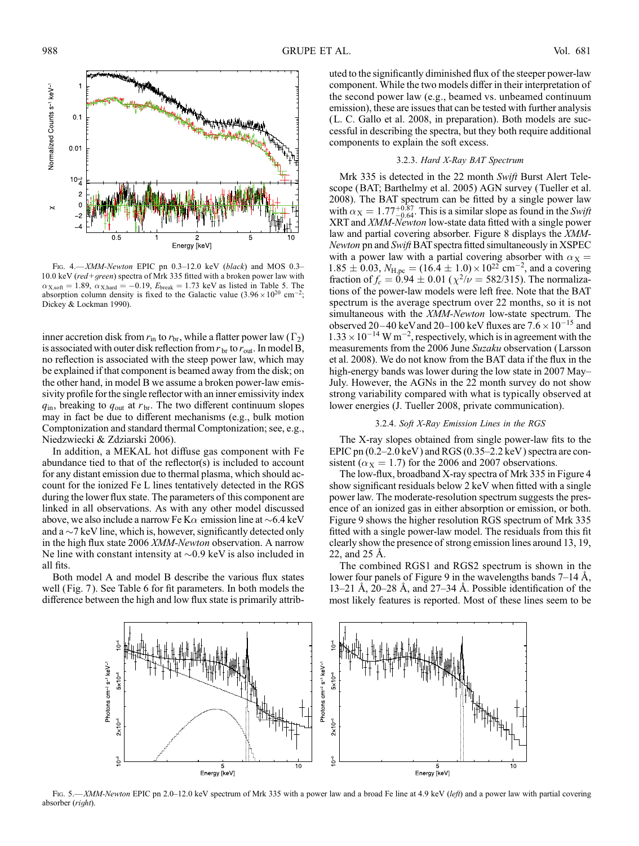

FIG. 4. $-XMM-Newton$  EPIC pn 0.3-12.0 keV (black) and MOS 0.3-10.0 keV (red+green) spectra of Mrk 335 fitted with a broken power law with  $\alpha_{X, \text{soft}} = 1.89$ ,  $\alpha_{X, \text{hard}} = -0.19$ ,  $E_{\text{break}} = 1.73$  keV as listed in Table 5. The absorption column density is fixed to the Galactic value  $(3.96 \times 10^{20} \text{ cm}^{-2})$ ; Dickey & Lockman 1990).

inner accretion disk from  $r_{\text{in}}$  to  $r_{\text{br}}$ , while a flatter power law ( $\Gamma_2$ ) is associated with outer disk reflection from  $r_{\rm br}$  to  $r_{\rm out}$ . In model B, no reflection is associated with the steep power law, which may be explained if that component is beamed away from the disk; on the other hand, in model B we assume a broken power-law emissivity profile for the single reflector with an inner emissivity index  $q_{\text{in}}$ , breaking to  $q_{\text{out}}$  at  $r_{\text{br}}$ . The two different continuum slopes may in fact be due to different mechanisms (e.g., bulk motion Comptonization and standard thermal Comptonization; see, e.g., Niedzwiecki & Zdziarski 2006).

In addition, a MEKAL hot diffuse gas component with Fe abundance tied to that of the reflector(s) is included to account for any distant emission due to thermal plasma, which should account for the ionized Fe L lines tentatively detected in the RGS during the lower flux state. The parameters of this component are linked in all observations. As with any other model discussed above, we also include a narrow Fe K $\alpha$  emission line at  $\sim 6.4 \text{ keV}$ and a  $\sim$ 7 keV line, which is, however, significantly detected only in the high flux state 2006 XMM-Newton observation. A narrow Ne line with constant intensity at  $\sim 0.9$  keV is also included in all fits.

Both model A and model B describe the various flux states well (Fig. 7 ). See Table 6 for fit parameters. In both models the difference between the high and low flux state is primarily attributed to the significantly diminished flux of the steeper power-law component. While the two models differ in their interpretation of the second power law (e.g., beamed vs. unbeamed continuum emission), these are issues that can be tested with further analysis (L. C. Gallo et al. 2008, in preparation). Both models are successful in describing the spectra, but they both require additional components to explain the soft excess.

## 3.2.3. Hard X-Ray BAT Spectrum

Mrk 335 is detected in the 22 month Swift Burst Alert Telescope (BAT; Barthelmy et al. 2005) AGN survey (Tueller et al. 2008). The BAT spectrum can be fitted by a single power law with  $\alpha_X = 1.77^{+0.87}_{-0.64}$ . This is a similar slope as found in the Swift XRT and XMM-Newton low-state data fitted with a single power law and partial covering absorber. Figure 8 displays the XMM-Newton pn and Swift BAT spectra fitted simultaneously in XSPEC with a power law with a partial covering absorber with  $\alpha_X =$  $1.85 \pm 0.03$ ,  $N_{\text{H,pc}} = (16.4 \pm 1.0) \times 10^{22} \text{ cm}^{-2}$ , and a covering fraction of  $f_c = 0.94 \pm 0.01$  ( $\chi^2/\nu = 582/315$ ). The normalizations of the power-law models were left free. Note that the BAT spectrum is the average spectrum over 22 months, so it is not simultaneous with the XMM-Newton low-state spectrum. The observed 20–40 keV and 20–100 keV fluxes are  $7.6 \times 10^{-15}$  and  $1.33 \times 10^{-14}$  W m<sup>-2</sup>, respectively, which is in agreement with the measurements from the 2006 June Suzaku observation (Larsson et al. 2008). We do not know from the BAT data if the flux in the high-energy bands was lower during the low state in 2007 May-July. However, the AGNs in the 22 month survey do not show strong variability compared with what is typically observed at lower energies (J. Tueller 2008, private communication).

## 3.2.4. Soft X-Ray Emission Lines in the RGS

The X-ray slopes obtained from single power-law fits to the EPIC pn  $(0.2-2.0 \text{ keV})$  and RGS  $(0.35-2.2 \text{ keV})$  spectra are consistent ( $\alpha$ <sub>X</sub> = 1.7) for the 2006 and 2007 observations.

The low-flux, broadband X-ray spectra of Mrk 335 in Figure 4 show significant residuals below 2 keV when fitted with a single power law. The moderate-resolution spectrum suggests the presence of an ionized gas in either absorption or emission, or both. Figure 9 shows the higher resolution RGS spectrum of Mrk 335 fitted with a single power-law model. The residuals from this fit clearly show the presence of strong emission lines around 13, 19, 22, and  $25 \text{ Å}$ .

The combined RGS1 and RGS2 spectrum is shown in the lower four panels of Figure 9 in the wavelengths bands  $7-14$  Å, 13–21 Å, 20–28 Å, and 27–34 Å. Possible identification of the most likely features is reported. Most of these lines seem to be



Fig. 5.—XMM-Newton EPIC pn 2.0-12.0 keV spectrum of Mrk 335 with a power law and a broad Fe line at 4.9 keV (left) and a power law with partial covering absorber (right).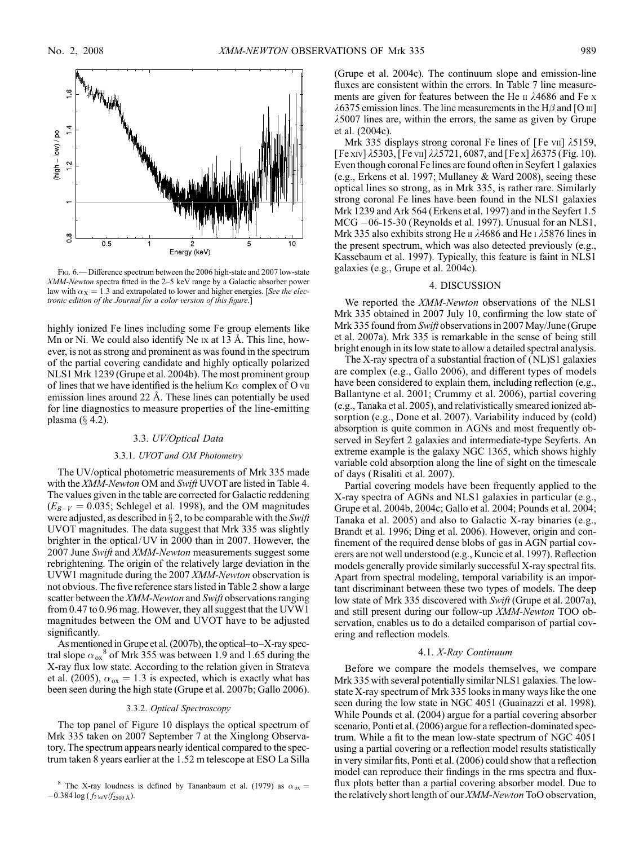

Fig. 6.— Difference spectrum between the 2006 high-state and 2007 low-state XMM-Newton spectra fitted in the 2-5 keV range by a Galactic absorber power law with  $\alpha_X = 1.3$  and extrapolated to lower and higher energies. [See the electronic edition of the Journal for a color version of this figure.]

highly ionized Fe lines including some Fe group elements like Mn or Ni. We could also identify Ne  $Ix$  at 13 Å. This line, however, is not as strong and prominent as was found in the spectrum of the partial covering candidate and highly optically polarized NLS1 Mrk 1239 (Grupe et al. 2004b). The most prominent group of lines that we have identified is the helium  $K\alpha$  complex of O vii emission lines around  $22 \text{ Å}$ . These lines can potentially be used for line diagnostics to measure properties of the line-emitting plasma  $(\S$  4.2).

### 3.3. UV/Optical Data

#### 3.3.1. UVOT and OM Photometry

The UV/optical photometric measurements of Mrk 335 made with the XMM-Newton OM and Swift UVOT are listed in Table 4. The values given in the table are corrected for Galactic reddening  $(E_{B-V} = 0.035;$  Schlegel et al. 1998), and the OM magnitudes were adjusted, as described in  $\S 2$ , to be comparable with the *Swift* UVOT magnitudes. The data suggest that Mrk 335 was slightly brighter in the optical/UV in 2000 than in 2007. However, the 2007 June Swift and XMM-Newton measurements suggest some rebrightening. The origin of the relatively large deviation in the UVW1 magnitude during the 2007 XMM-Newton observation is not obvious. The five reference stars listed in Table 2 show a large scatter between the XMM-Newton and Swift observations ranging from 0.47 to 0.96 mag. However, they all suggest that the UVW1 magnitudes between the OM and UVOT have to be adjusted significantly.

As mentioned in Grupe et al.  $(2007b)$ , the optical-to-X-ray spectral slope  $\alpha_{ox}^8$  of Mrk 355 was between 1.9 and 1.65 during the X-ray flux low state. According to the relation given in Strateva et al. (2005),  $\alpha_{ox} = 1.3$  is expected, which is exactly what has been seen during the high state (Grupe et al. 2007b; Gallo 2006).

#### 3.3.2. Optical Spectroscopy

The top panel of Figure 10 displays the optical spectrum of Mrk 335 taken on 2007 September 7 at the Xinglong Observatory. The spectrum appears nearly identical compared to the spectrum taken 8 years earlier at the 1.52 m telescope at ESO La Silla (Grupe et al. 2004c). The continuum slope and emission-line fluxes are consistent within the errors. In Table 7 line measurements are given for features between the He  $\text{II}$   $\lambda$ 4686 and Fe x  $\lambda$ 6375 emission lines. The line measurements in the H $\beta$  and [O  $\text{m}$ ]  $\lambda$ 5007 lines are, within the errors, the same as given by Grupe et al. (2004c).

Mrk 335 displays strong coronal Fe lines of [Fe vii]  $\lambda$ 5159, [Fe xiv]  $\lambda$ 5303, [Fe vii]  $\lambda\lambda$ 5721, 6087, and [Fe x]  $\lambda$ 6375 (Fig. 10). Even though coronal Fe lines are found often in Seyfert 1 galaxies (e.g., Erkens et al. 1997; Mullaney & Ward 2008), seeing these optical lines so strong, as in Mrk 335, is rather rare. Similarly strong coronal Fe lines have been found in the NLS1 galaxies Mrk 1239 and Ark 564 (Erkens et al. 1997) and in the Seyfert 1.5 MCG -06-15-30 (Reynolds et al. 1997). Unusual for an NLS1, Mrk 335 also exhibits strong He  $\pi$   $\lambda$ 4686 and He  $\tau$   $\lambda$ 5876 lines in the present spectrum, which was also detected previously (e.g., Kassebaum et al. 1997). Typically, this feature is faint in NLS1 galaxies (e.g., Grupe et al. 2004c).

## 4. DISCUSSION

We reported the XMM-Newton observations of the NLS1 Mrk 335 obtained in 2007 July 10, confirming the low state of Mrk 335 found from Swift observations in 2007 May/June (Grupe et al. 2007a). Mrk 335 is remarkable in the sense of being still bright enough in its low state to allow a detailed spectral analysis.

The X-ray spectra of a substantial fraction of (NL)S1 galaxies are complex (e.g., Gallo 2006), and different types of models have been considered to explain them, including reflection (e.g., Ballantyne et al. 2001; Crummy et al. 2006), partial covering (e.g., Tanaka et al. 2005), and relativistically smeared ionized absorption (e.g., Done et al. 2007). Variability induced by (cold) absorption is quite common in AGNs and most frequently observed in Seyfert 2 galaxies and intermediate-type Seyferts. An extreme example is the galaxy NGC 1365, which shows highly variable cold absorption along the line of sight on the timescale of days (Risaliti et al. 2007).

Partial covering models have been frequently applied to the X-ray spectra of AGNs and NLS1 galaxies in particular (e.g., Grupe et al. 2004b, 2004c; Gallo et al. 2004; Pounds et al. 2004; Tanaka et al. 2005) and also to Galactic X-ray binaries (e.g., Brandt et al. 1996; Ding et al. 2006). However, origin and confinement of the required dense blobs of gas in AGN partial coverers are not well understood (e.g., Kuncic et al. 1997). Reflection models generally provide similarly successful X-ray spectral fits. Apart from spectral modeling, temporal variability is an important discriminant between these two types of models. The deep low state of Mrk 335 discovered with Swift (Grupe et al. 2007a), and still present during our follow-up XMM-Newton TOO observation, enables us to do a detailed comparison of partial covering and reflection models.

#### 4.1. X-Ray Continuum

Before we compare the models themselves, we compare Mrk 335 with several potentially similar NLS1 galaxies. The lowstate X-ray spectrum of Mrk 335 looks in many ways like the one seen during the low state in NGC 4051 (Guainazzi et al. 1998). While Pounds et al. (2004) argue for a partial covering absorber scenario, Ponti et al. (2006) argue for a reflection-dominated spectrum. While a fit to the mean low-state spectrum of NGC 4051 using a partial covering or a reflection model results statistically in very similar fits, Ponti et al. (2006) could show that a reflection model can reproduce their findings in the rms spectra and fluxflux plots better than a partial covering absorber model. Due to the relatively short length of our XMM-Newton ToO observation,

<sup>&</sup>lt;sup>8</sup> The X-ray loudness is defined by Tananbaum et al. (1979) as  $\alpha_{ox} =$  $-0.384 \log (f_{2 \text{ keV}}/f_{2500 \text{ \AA}})$ .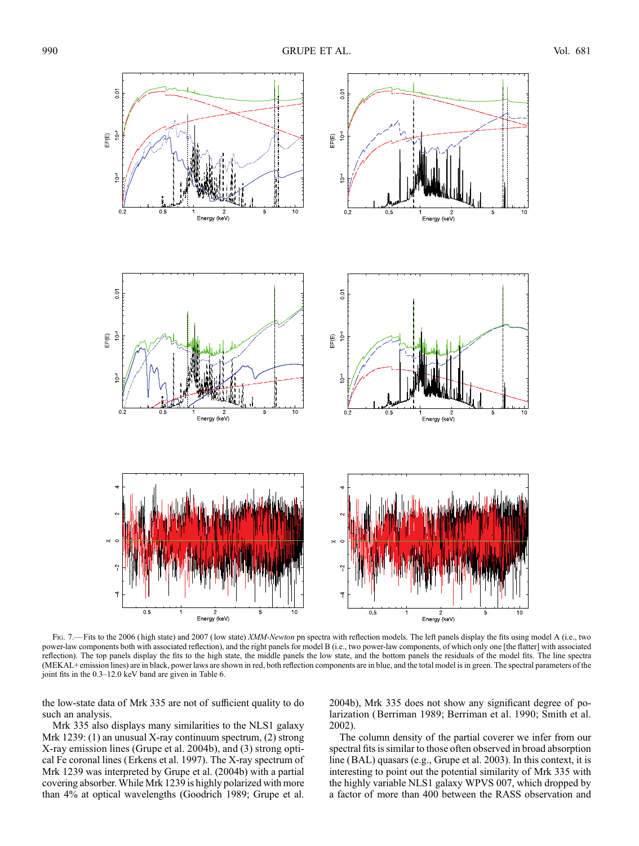

Fig. 7.—Fits to the 2006 (high state) and 2007 (low state) XMM-Newton pn spectra with reflection models. The left panels display the fits using model A (i.e., two power-law components both with associated reflection), and the right panels for model B (i.e., two power-law components, of which only one [the flatter] with associated reflection). The top panels display the fits to the high state, the middle panels the low state, and the bottom panels the residuals of the model fits. The line spectra (MEKAL+ emission lines) are in black, power laws are shown in red, both reflection components are in blue, and the total model is in green. The spectral parameters of the joint fits in the  $0.3-12.0$  keV band are given in Table 6.

the low-state data of Mrk 335 are not of sufficient quality to do such an analysis.

Mrk 335 also displays many similarities to the NLS1 galaxy Mrk 1239: (1) an unusual X-ray continuum spectrum, (2) strong X-ray emission lines (Grupe et al. 2004b), and (3) strong optical Fe coronal lines (Erkens et al. 1997). The X-ray spectrum of Mrk 1239 was interpreted by Grupe et al. (2004b) with a partial covering absorber. While Mrk 1239 is highly polarized with more than 4% at optical wavelengths (Goodrich 1989; Grupe et al. 2004b), Mrk 335 does not show any significant degree of polarization (Berriman 1989; Berriman et al. 1990; Smith et al. 2002).

The column density of the partial coverer we infer from our spectral fits is similar to those often observed in broad absorption line (BAL) quasars (e.g., Grupe et al. 2003). In this context, it is interesting to point out the potential similarity of Mrk 335 with the highly variable NLS1 galaxy WPVS 007, which dropped by a factor of more than 400 between the RASS observation and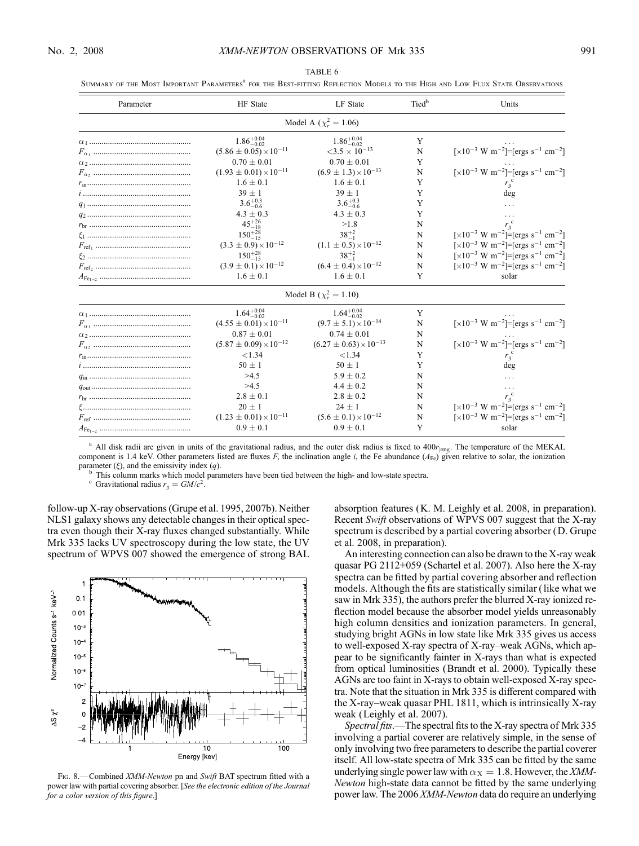| Parameter | HF State                          | LF State                           | Tied <sup>b</sup> | Units                                                                                              |
|-----------|-----------------------------------|------------------------------------|-------------------|----------------------------------------------------------------------------------------------------|
|           |                                   | Model A ( $\chi_r^2 = 1.06$ )      |                   |                                                                                                    |
|           | $1.86^{+0.04}_{-0.02}$            | $1.86^{+0.04}_{-0.02}$             | Y                 |                                                                                                    |
|           | $(5.86 \pm 0.05) \times 10^{-11}$ | $<$ 3.5 $\times$ 10 <sup>-13</sup> | N                 | [ $\times$ 10 <sup>-3</sup> W m <sup>-2</sup> ]=[ergs s <sup>-1</sup> cm <sup>-2</sup> ]           |
|           | $0.70 \pm 0.01$                   | $0.70 \pm 0.01$                    | Y                 |                                                                                                    |
|           | $(1.93 \pm 0.01) \times 10^{-11}$ | $(6.9 \pm 1.3) \times 10^{-13}$    | N                 | [ $\times 10^{-3}$ W m <sup>-2</sup> ]=[ergs s <sup>-1</sup> cm <sup>-2</sup> ]                    |
|           | $1.6 \pm 0.1$                     | $1.6 \pm 0.1$                      | Y                 | $r_g^{\text{c}}$                                                                                   |
|           | $39 \pm 1$                        | $39 \pm 1$                         | Y                 | deg                                                                                                |
|           | $3.6^{+0.3}_{-0.6}$               | $3.6^{+0.3}_{-0.6}$                | Y                 |                                                                                                    |
|           | $4.3 \pm 0.3$                     | $4.3 \pm 0.3$                      | Y                 | .                                                                                                  |
|           | $45^{+26}_{-18}$                  | >1.8                               | N                 |                                                                                                    |
|           | $150^{+28}_{-15}$                 | $38^{+2}_{-1}$                     | N                 | $\left[\times 10^{-3} \text{ W m}^{-2}\right]$ = $\left[\text{ergs s}^{-1} \text{ cm}^{-2}\right]$ |
|           | $(3.3 \pm 0.9) \times 10^{-12}$   | $(1.1 \pm 0.5) \times 10^{-12}$    | N                 | $\lceil \times 10^{-3} \text{ W m}^{-2} \rceil = \lceil \text{ergs s}^{-1} \text{ cm}^{-2} \rceil$ |
|           | $150^{+28}_{-15}$                 | $38^{+2}_{-1}$                     | N                 | [ $\times$ 10 <sup>-3</sup> W m <sup>-2</sup> ]=[ergs s <sup>-1</sup> cm <sup>-2</sup> ]           |
|           | $(3.9 \pm 0.1) \times 10^{-12}$   | $(6.4 \pm 0.4) \times 10^{-12}$    | N                 | $\lceil \times 10^{-3} \text{ W m}^{-2} \rceil = \lceil \text{ergs s}^{-1} \text{ cm}^{-2} \rceil$ |
|           | $1.6 \pm 0.1$                     | $1.6 \pm 0.1$                      | Y                 | solar                                                                                              |
|           |                                   | Model B ( $\chi_r^2 = 1.10$ )      |                   |                                                                                                    |
|           | $1.64^{+0.04}_{-0.02}$            | $1.64^{+0.04}_{-0.02}$             | Y                 |                                                                                                    |
|           | $(4.55 \pm 0.01) \times 10^{-11}$ | $(9.7 \pm 5.1) \times 10^{-14}$    | N                 | [ $\times$ 10 <sup>-3</sup> W m <sup>-2</sup> ]=[ergs s <sup>-1</sup> cm <sup>-2</sup> ]           |
|           | $0.87 \pm 0.01$                   | $0.74 \pm 0.01$                    | N                 |                                                                                                    |
|           | $(5.87 \pm 0.09) \times 10^{-12}$ | $(6.27 \pm 0.63) \times 10^{-13}$  | N                 | [ $\times 10^{-3}$ W m <sup>-2</sup> ]=[ergs s <sup>-1</sup> cm <sup>-2</sup> ]                    |
|           | < 1.34                            | < 1.34                             | Y                 | $r_g^{\text{c}}$                                                                                   |
|           | $50 \pm 1$                        | $50 \pm 1$                         | Y                 | deg                                                                                                |
|           | >4.5                              | $5.9 \pm 0.2$                      | N                 |                                                                                                    |
|           | >4.5                              | $4.4 \pm 0.2$                      | N                 | $\cdots$                                                                                           |
|           | $2.8 \pm 0.1$                     | $2.8 \pm 0.2$                      | N                 |                                                                                                    |
|           | $20 \pm 1$                        | $24 \pm 1$                         | N                 | $\left[\times 10^{-3} \text{ W m}^{-2}\right] = \left[\text{ergs s}^{-1} \text{ cm}^{-2}\right]$   |
|           | $(1.23 \pm 0.01) \times 10^{-11}$ | $(5.6 \pm 0.1) \times 10^{-12}$    | N                 | $\left[\times 10^{-3} \text{ W m}^{-2}\right] = \left[\text{ergs s}^{-1} \text{ cm}^{-2}\right]$   |
|           | $0.9 \pm 0.1$                     | $0.9 \pm 0.1$                      | Y                 | solar                                                                                              |

TABLE 6 SUMMARY OF THE MOST IMPORTANT PARAMETERS<sup>a</sup> FOR THE BEST-FITTING REFLECTION MODELS TO THE HIGH AND LOW FLUX STATE OBSERVATIONS

<sup>a</sup> All disk radii are given in units of the gravitational radius, and the outer disk radius is fixed to  $400r_{\text{imp}}$ . The temperature of the MEKAL component is 1.4 keV. Other parameters listed are fluxes F, the inclination angle i, the Fe abundance  $(A_{Fe})$  given relative to solar, the ionization parameter ( $\xi$ ), and the emissivity index (q).

<sup>b</sup> This column marks which model parameters have been tied between the high- and low-state spectra. <sup>c</sup> Gravitational radius  $r_q = GM/c^2$ .

follow-up X-ray observations (Grupe et al. 1995, 2007b). Neither NLS1 galaxy shows any detectable changes in their optical spectra even though their X-ray fluxes changed substantially. While Mrk 335 lacks UV spectroscopy during the low state, the UV spectrum of WPVS 007 showed the emergence of strong BAL



FIG. 8.-Combined XMM-Newton pn and Swift BAT spectrum fitted with a power law with partial covering absorber. [See the electronic edition of the Journal for a color version of this figure.]

absorption features (K. M. Leighly et al. 2008, in preparation). Recent Swift observations of WPVS 007 suggest that the X-ray spectrum is described by a partial covering absorber (D. Grupe et al. 2008, in preparation).

An interesting connection can also be drawn to the X-ray weak quasar PG 2112+059 (Schartel et al. 2007). Also here the X-ray spectra can be fitted by partial covering absorber and reflection models. Although the fits are statistically similar (like what we saw in Mrk 335), the authors prefer the blurred X-ray ionized reflection model because the absorber model yields unreasonably high column densities and ionization parameters. In general, studying bright AGNs in low state like Mrk 335 gives us access to well-exposed X-ray spectra of X-ray-weak AGNs, which appear to be significantly fainter in X-rays than what is expected from optical luminosities (Brandt et al. 2000). Typically these AGNs are too faint in X-rays to obtain well-exposed X-ray spectra. Note that the situation in Mrk 335 is different compared with the X-ray-weak quasar PHL  $1811$ , which is intrinsically X-ray weak (Leighly et al. 2007).

Spectral fits.—The spectral fits to the X-ray spectra of Mrk 335 involving a partial coverer are relatively simple, in the sense of only involving two free parameters to describe the partial coverer itself. All low-state spectra of Mrk 335 can be fitted by the same underlying single power law with  $\alpha_X = 1.8$ . However, the *XMM*-Newton high-state data cannot be fitted by the same underlying power law. The 2006 XMM-Newton data do require an underlying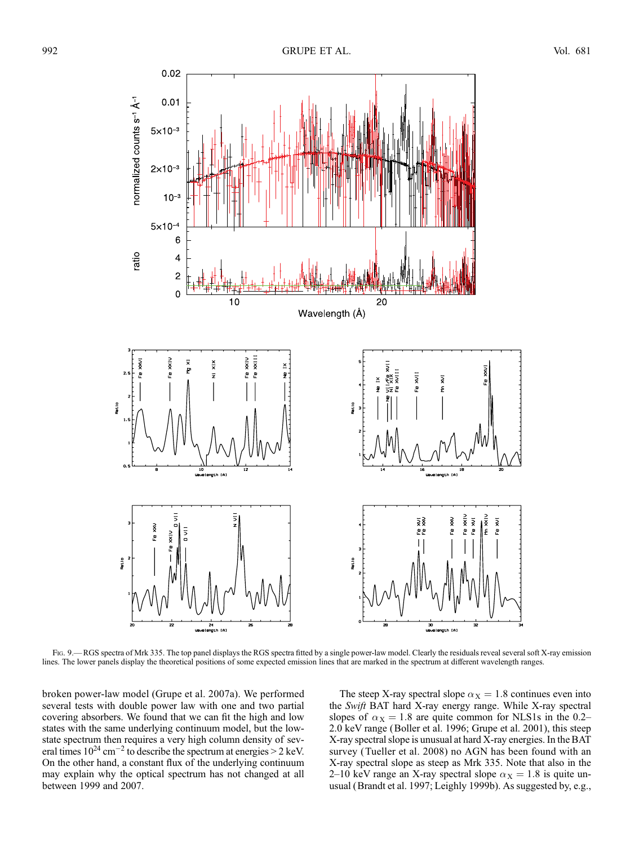

Fig. 9.—RGS spectra of Mrk 335. The top panel displays the RGS spectra fitted by a single power-law model. Clearly the residuals reveal several soft X-ray emission lines. The lower panels display the theoretical positions of some expected emission lines that are marked in the spectrum at different wavelength ranges.

broken power-law model (Grupe et al. 2007a). We performed several tests with double power law with one and two partial covering absorbers. We found that we can fit the high and low states with the same underlying continuum model, but the lowstate spectrum then requires a very high column density of several times  $10^{24}$  cm<sup>-2</sup> to describe the spectrum at energies > 2 keV. On the other hand, a constant flux of the underlying continuum may explain why the optical spectrum has not changed at all between 1999 and 2007.

The steep X-ray spectral slope  $\alpha_X = 1.8$  continues even into the Swift BAT hard X-ray energy range. While X-ray spectral slopes of  $\alpha_X = 1.8$  are quite common for NLS1s in the 0.2-2.0 keV range (Boller et al. 1996; Grupe et al. 2001), this steep X-ray spectral slope is unusual at hard X-ray energies. In the BAT survey (Tueller et al. 2008) no AGN has been found with an X-ray spectral slope as steep as Mrk 335. Note that also in the 2–10 keV range an X-ray spectral slope  $\alpha_X = 1.8$  is quite unusual (Brandt et al. 1997; Leighly 1999b). As suggested by, e.g.,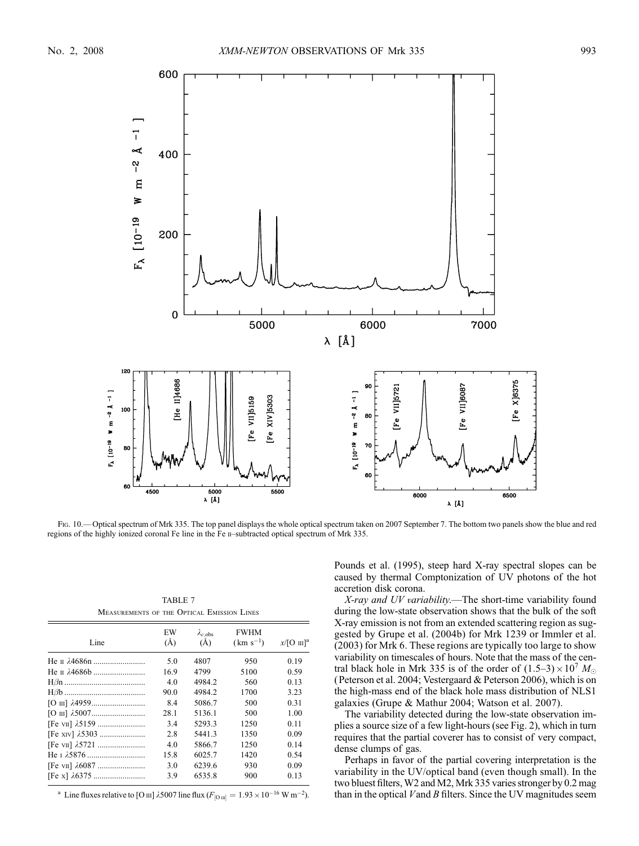

Fig. 10.—Optical spectrum of Mrk 335. The top panel displays the whole optical spectrum taken on 2007 September 7. The bottom two panels show the blue and red regions of the highly ionized coronal Fe line in the Fe II-subtracted optical spectrum of Mrk 335.

TABLE 7 Measurements of the Optical Emission Lines

| Line | EW<br>(A) | $\lambda_{c,obs}$<br>(A) | <b>FWHM</b><br>$(km s^{-1})$ | $x/[O \text{ III}]^{\text{a}}$ |
|------|-----------|--------------------------|------------------------------|--------------------------------|
|      | 5.0       | 4807                     | 950                          | 0.19                           |
|      | 16.9      | 4799                     | 5100                         | 0.59                           |
|      | 4.0       | 4984.2                   | 560                          | 0.13                           |
|      | 90.0      | 4984.2                   | 1700                         | 3.23                           |
|      | 8.4       | 5086.7                   | 500                          | 0.31                           |
|      | 28.1      | 5136.1                   | 500                          | 1.00                           |
|      | 3.4       | 5293.3                   | 1250                         | 0.11                           |
|      | 2.8       | 5441.3                   | 1350                         | 0.09                           |
|      | 4.0       | 5866.7                   | 1250                         | 0.14                           |
|      | 15.8      | 6025.7                   | 1420                         | 0.54                           |
|      | 3.0       | 6239.6                   | 930                          | 0.09                           |
|      | 3.9       | 6535.8                   | 900                          | 0.13                           |

<sup>a</sup> Line fluxes relative to [O  $\text{m}$ ]  $\lambda$ 5007 line flux ( $F_{\text{[O\,\text{m}]}} = 1.93 \times 10^{-16} \text{ W m}^{-2}$ ).

Pounds et al. (1995), steep hard X-ray spectral slopes can be caused by thermal Comptonization of UV photons of the hot accretion disk corona.

X-ray and UV variability.—The short-time variability found during the low-state observation shows that the bulk of the soft X-ray emission is not from an extended scattering region as suggested by Grupe et al. (2004b) for Mrk 1239 or Immler et al. (2003) for Mrk 6. These regions are typically too large to show variability on timescales of hours. Note that the mass of the central black hole in Mrk 335 is of the order of  $(1.5-3) \times 10^7$  M<sub>o</sub> (Peterson et al. 2004; Vestergaard & Peterson 2006), which is on the high-mass end of the black hole mass distribution of NLS1 galaxies (Grupe & Mathur 2004; Watson et al. 2007).

The variability detected during the low-state observation implies a source size of a few light-hours (see Fig. 2), which in turn requires that the partial coverer has to consist of very compact, dense clumps of gas.

Perhaps in favor of the partial covering interpretation is the variability in the UV/optical band (even though small). In the two bluest filters,W2 and M2, Mrk 335 varies stronger by 0.2 mag than in the optical  $V$  and  $B$  filters. Since the UV magnitudes seem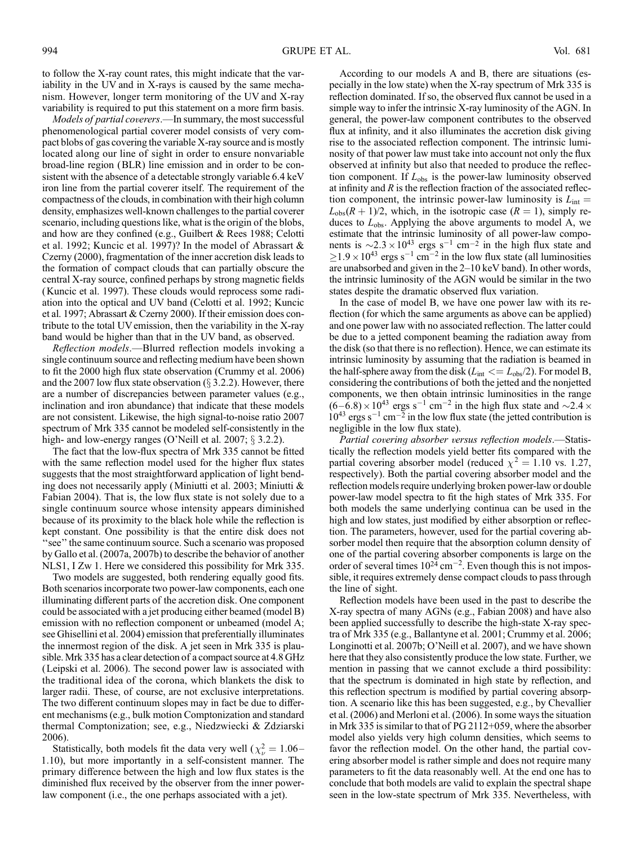to follow the X-ray count rates, this might indicate that the variability in the UV and in X-rays is caused by the same mechanism. However, longer term monitoring of the UV and X-ray variability is required to put this statement on a more firm basis.

Models of partial coverers.—In summary, the most successful phenomenological partial coverer model consists of very compact blobs of gas covering the variable X-ray source and is mostly located along our line of sight in order to ensure nonvariable broad-line region (BLR) line emission and in order to be consistent with the absence of a detectable strongly variable 6.4 keV iron line from the partial coverer itself. The requirement of the compactness of the clouds, in combination with their high column density, emphasizes well-known challenges to the partial coverer scenario, including questions like, what is the origin of the blobs, and how are they confined (e.g., Guilbert & Rees 1988; Celotti et al. 1992; Kuncic et al. 1997)? In the model of Abrassart & Czerny (2000), fragmentation of the inner accretion disk leads to the formation of compact clouds that can partially obscure the central X-ray source, confined perhaps by strong magnetic fields (Kuncic et al. 1997). These clouds would reprocess some radiation into the optical and UV band (Celotti et al. 1992; Kuncic et al. 1997; Abrassart & Czerny 2000). If their emission does contribute to the total UV emission, then the variability in the X-ray band would be higher than that in the UV band, as observed.

Reflection models.—Blurred reflection models invoking a single continuum source and reflecting medium have been shown to fit the 2000 high flux state observation (Crummy et al. 2006) and the 2007 low flux state observation ( $\S$  3.2.2). However, there are a number of discrepancies between parameter values (e.g., inclination and iron abundance) that indicate that these models are not consistent. Likewise, the high signal-to-noise ratio 2007 spectrum of Mrk 335 cannot be modeled self-consistently in the high- and low-energy ranges (O'Neill et al. 2007;  $\S$  3.2.2).

The fact that the low-flux spectra of Mrk 335 cannot be fitted with the same reflection model used for the higher flux states suggests that the most straightforward application of light bending does not necessarily apply (Miniutti et al. 2003; Miniutti & Fabian 2004). That is, the low flux state is not solely due to a single continuum source whose intensity appears diminished because of its proximity to the black hole while the reflection is kept constant. One possibility is that the entire disk does not "see" the same continuum source. Such a scenario was proposed by Gallo et al. (2007a, 2007b) to describe the behavior of another NLS1, I Zw 1. Here we considered this possibility for Mrk 335.

Two models are suggested, both rendering equally good fits. Both scenarios incorporate two power-law components, each one illuminating different parts of the accretion disk. One component could be associated with a jet producing either beamed (model B) emission with no reflection component or unbeamed (model A; see Ghisellini et al. 2004) emission that preferentially illuminates the innermost region of the disk. A jet seen in Mrk 335 is plausible. Mrk 335 has a clear detection of a compact source at 4.8 GHz (Leipski et al. 2006). The second power law is associated with the traditional idea of the corona, which blankets the disk to larger radii. These, of course, are not exclusive interpretations. The two different continuum slopes may in fact be due to different mechanisms (e.g., bulk motion Comptonization and standard thermal Comptonization; see, e.g., Niedzwiecki & Zdziarski 2006).

Statistically, both models fit the data very well ( $\chi^2_{\nu} = 1.06-$ 1:10), but more importantly in a self-consistent manner. The primary difference between the high and low flux states is the diminished flux received by the observer from the inner powerlaw component (i.e., the one perhaps associated with a jet).

According to our models A and B, there are situations (especially in the low state) when the X-ray spectrum of Mrk 335 is reflection dominated. If so, the observed flux cannot be used in a simple way to infer the intrinsic X-ray luminosity of the AGN. In general, the power-law component contributes to the observed flux at infinity, and it also illuminates the accretion disk giving rise to the associated reflection component. The intrinsic luminosity of that power law must take into account not only the flux observed at infinity but also that needed to produce the reflection component. If  $L_{obs}$  is the power-law luminosity observed at infinity and  $R$  is the reflection fraction of the associated reflection component, the intrinsic power-law luminosity is  $L_{int}$  =  $L_{obs}(R + 1)/2$ , which, in the isotropic case  $(R = 1)$ , simply reduces to  $L_{obs}$ . Applying the above arguments to model A, we estimate that the intrinsic luminosity of all power-law components is  $\sim$ 2.3  $\times$  10<sup>43</sup> ergs s<sup>-1</sup> cm<sup>-2</sup> in the high flux state and  $\geq$ 1.9 × 10<sup>43</sup> ergs s<sup>-1</sup> cm<sup>-2</sup> in the low flux state (all luminosities are unabsorbed and given in the  $2-10$  keV band). In other words, the intrinsic luminosity of the AGN would be similar in the two states despite the dramatic observed flux variation.

In the case of model B, we have one power law with its reflection (for which the same arguments as above can be applied) and one power law with no associated reflection. The latter could be due to a jetted component beaming the radiation away from the disk (so that there is no reflection). Hence, we can estimate its intrinsic luminosity by assuming that the radiation is beamed in the half-sphere away from the disk ( $L_{int} \ll L_{obs}/2$ ). For model B, considering the contributions of both the jetted and the nonjetted components, we then obtain intrinsic luminosities in the range  $(6-\dot{6}.8) \times 10^{43}$  ergs s<sup>-1</sup> cm<sup>-2</sup> in the high flux state and  $\sim$ 2.4  $\times$  $10^{43}$  ergs s<sup>-1</sup> cm<sup>-2</sup> in the low flux state (the jetted contribution is negligible in the low flux state).

Partial covering absorber versus reflection models.—Statistically the reflection models yield better fits compared with the partial covering absorber model (reduced  $\chi^2 = 1.10$  vs. 1.27, respectively). Both the partial covering absorber model and the reflection models require underlying broken power-law or double power-law model spectra to fit the high states of Mrk 335. For both models the same underlying continua can be used in the high and low states, just modified by either absorption or reflection. The parameters, however, used for the partial covering absorber model then require that the absorption column density of one of the partial covering absorber components is large on the order of several times  $10^{24}$  cm<sup>-2</sup>. Even though this is not impossible, it requires extremely dense compact clouds to pass through the line of sight.

Reflection models have been used in the past to describe the X-ray spectra of many AGNs (e.g., Fabian 2008) and have also been applied successfully to describe the high-state X-ray spectra of Mrk 335 (e.g., Ballantyne et al. 2001; Crummy et al. 2006; Longinotti et al. 2007b; O'Neill et al. 2007), and we have shown here that they also consistently produce the low state. Further, we mention in passing that we cannot exclude a third possibility: that the spectrum is dominated in high state by reflection, and this reflection spectrum is modified by partial covering absorption. A scenario like this has been suggested, e.g., by Chevallier et al. (2006) and Merloni et al. (2006). In some ways the situation in Mrk 335 is similar to that of PG 2112+059, where the absorber model also yields very high column densities, which seems to favor the reflection model. On the other hand, the partial covering absorber model is rather simple and does not require many parameters to fit the data reasonably well. At the end one has to conclude that both models are valid to explain the spectral shape seen in the low-state spectrum of Mrk 335. Nevertheless, with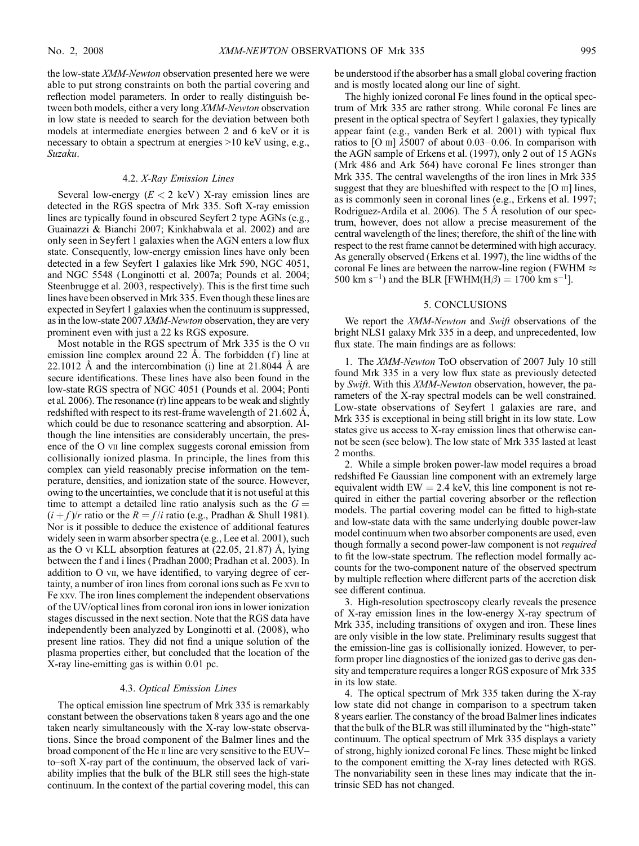the low-state XMM-Newton observation presented here we were able to put strong constraints on both the partial covering and reflection model parameters. In order to really distinguish between both models, either a very long XMM-Newton observation in low state is needed to search for the deviation between both models at intermediate energies between 2 and 6 keV or it is necessary to obtain a spectrum at energies >10 keV using, e.g., Suzaku.

#### 4.2. X-Ray Emission Lines

Several low-energy  $(E < 2 \text{ keV})$  X-ray emission lines are detected in the RGS spectra of Mrk 335. Soft X-ray emission lines are typically found in obscured Seyfert 2 type AGNs (e.g., Guainazzi & Bianchi 2007; Kinkhabwala et al. 2002) and are only seen in Seyfert 1 galaxies when the AGN enters a low flux state. Consequently, low-energy emission lines have only been detected in a few Seyfert 1 galaxies like Mrk 590, NGC 4051, and NGC 5548 (Longinotti et al. 2007a; Pounds et al. 2004; Steenbrugge et al. 2003, respectively). This is the first time such lines have been observed in Mrk 335. Even though these lines are expected in Seyfert 1 galaxies when the continuum is suppressed, as in the low-state 2007 XMM-Newton observation, they are very prominent even with just a 22 ks RGS exposure.

Most notable in the RGS spectrum of Mrk 335 is the O vii emission line complex around 22  $\AA$ . The forbidden (f) line at 22.1012 Å and the intercombination (i) line at  $21.8044$  Å are secure identifications. These lines have also been found in the low-state RGS spectra of NGC 4051 (Pounds et al. 2004; Ponti et al. 2006). The resonance (r) line appears to be weak and slightly redshifted with respect to its rest-frame wavelength of  $21.602 \text{ Å}$ , which could be due to resonance scattering and absorption. Although the line intensities are considerably uncertain, the presence of the O vii line complex suggests coronal emission from collisionally ionized plasma. In principle, the lines from this complex can yield reasonably precise information on the temperature, densities, and ionization state of the source. However, owing to the uncertainties, we conclude that it is not useful at this time to attempt a detailed line ratio analysis such as the  $G =$  $(i + f)/r$  ratio or the  $R = f/i$  ratio (e.g., Pradhan & Shull 1981). Nor is it possible to deduce the existence of additional features widely seen in warm absorber spectra (e.g., Lee et al. 2001), such as the O vi KLL absorption features at  $(22.05, 21.87)$  Å, lying between the f and i lines (Pradhan 2000; Pradhan et al. 2003). In addition to O vii, we have identified, to varying degree of certainty, a number of iron lines from coronal ions such as Fe xvii to Fe xxv. The iron lines complement the independent observations of the UV/optical lines from coronal iron ions in lower ionization stages discussed in the next section. Note that the RGS data have independently been analyzed by Longinotti et al. (2008), who present line ratios. They did not find a unique solution of the plasma properties either, but concluded that the location of the X-ray line-emitting gas is within 0.01 pc.

### 4.3. Optical Emission Lines

The optical emission line spectrum of Mrk 335 is remarkably constant between the observations taken 8 years ago and the one taken nearly simultaneously with the X-ray low-state observations. Since the broad component of the Balmer lines and the broad component of the He  $\scriptstyle\rm II$  line are very sensitive to the EUVto-soft X-ray part of the continuum, the observed lack of variability implies that the bulk of the BLR still sees the high-state continuum. In the context of the partial covering model, this can be understood if the absorber has a small global covering fraction and is mostly located along our line of sight.

The highly ionized coronal Fe lines found in the optical spectrum of Mrk 335 are rather strong. While coronal Fe lines are present in the optical spectra of Seyfert 1 galaxies, they typically appear faint (e.g., vanden Berk et al. 2001) with typical flux ratios to [O  $\text{III}$ ]  $\lambda$ 5007 of about 0.03–0.06. In comparison with the AGN sample of Erkens et al. (1997), only 2 out of 15 AGNs (Mrk 486 and Ark 564) have coronal Fe lines stronger than Mrk 335. The central wavelengths of the iron lines in Mrk 335 suggest that they are blueshifted with respect to the  $[O \text{ III}]$  lines, as is commonly seen in coronal lines (e.g., Erkens et al. 1997; Rodriguez-Ardila et al. 2006). The 5 Å resolution of our spectrum, however, does not allow a precise measurement of the central wavelength of the lines; therefore, the shift of the line with respect to the rest frame cannot be determined with high accuracy. As generally observed (Erkens et al. 1997), the line widths of the coronal Fe lines are between the narrow-line region (FWHM  $\approx$ 500 km s<sup>-1</sup>) and the BLR [FWHM(H $\beta$ ) = 1700 km s<sup>-1</sup>].

### 5. CONCLUSIONS

We report the *XMM-Newton* and *Swift* observations of the bright NLS1 galaxy Mrk 335 in a deep, and unprecedented, low flux state. The main findings are as follows:

1. The XMM-Newton ToO observation of 2007 July 10 still found Mrk 335 in a very low flux state as previously detected by Swift. With this XMM-Newton observation, however, the parameters of the X-ray spectral models can be well constrained. Low-state observations of Seyfert 1 galaxies are rare, and Mrk 335 is exceptional in being still bright in its low state. Low states give us access to X-ray emission lines that otherwise cannot be seen (see below). The low state of Mrk 335 lasted at least 2 months.

2. While a simple broken power-law model requires a broad redshifted Fe Gaussian line component with an extremely large equivalent width  $EW = 2.4$  keV, this line component is not required in either the partial covering absorber or the reflection models. The partial covering model can be fitted to high-state and low-state data with the same underlying double power-law model continuum when two absorber components are used, even though formally a second power-law component is not required to fit the low-state spectrum. The reflection model formally accounts for the two-component nature of the observed spectrum by multiple reflection where different parts of the accretion disk see different continua.

3. High-resolution spectroscopy clearly reveals the presence of X-ray emission lines in the low-energy X-ray spectrum of Mrk 335, including transitions of oxygen and iron. These lines are only visible in the low state. Preliminary results suggest that the emission-line gas is collisionally ionized. However, to perform proper line diagnostics of the ionized gas to derive gas density and temperature requires a longer RGS exposure of Mrk 335 in its low state.

4. The optical spectrum of Mrk 335 taken during the X-ray low state did not change in comparison to a spectrum taken 8 years earlier. The constancy of the broad Balmer lines indicates that the bulk of the BLR was still illuminated by the ''high-state'' continuum. The optical spectrum of Mrk 335 displays a variety of strong, highly ionized coronal Fe lines. These might be linked to the component emitting the X-ray lines detected with RGS. The nonvariability seen in these lines may indicate that the intrinsic SED has not changed.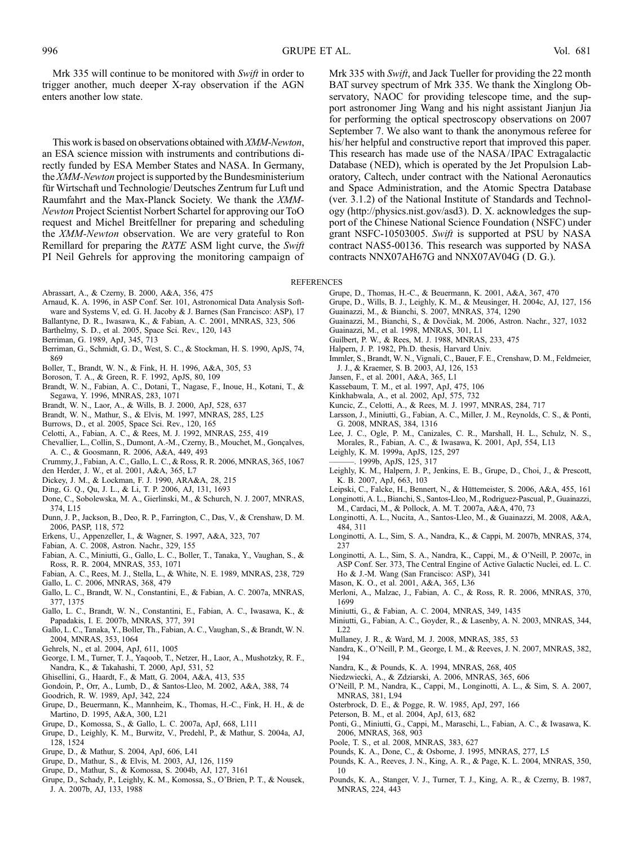Mrk 335 will continue to be monitored with Swift in order to trigger another, much deeper X-ray observation if the AGN enters another low state.

This work is based on observations obtained with XMM-Newton, an ESA science mission with instruments and contributions directly funded by ESA Member States and NASA. In Germany, the XMM-Newton project is supported by the Bundesministerium für Wirtschaft und Technologie/Deutsches Zentrum fur Luft und Raumfahrt and the Max-Planck Society. We thank the XMM-Newton Project Scientist Norbert Schartel for approving our ToO request and Michel Breitfellner for preparing and scheduling the XMM-Newton observation. We are very grateful to Ron Remillard for preparing the *RXTE* ASM light curve, the *Swift* PI Neil Gehrels for approving the monitoring campaign of

Abrassart, A., & Czerny, B. 2000, A&A, 356, 475

- Arnaud, K. A. 1996, in ASP Conf. Ser. 101, Astronomical Data Analysis Soft-
- ware and Systems V, ed. G. H. Jacoby & J. Barnes (San Francisco: ASP), 17
- Ballantyne, D. R., Iwasawa, K., & Fabian, A. C. 2001, MNRAS, 323, 506
- Barthelmy, S. D., et al. 2005, Space Sci. Rev., 120, 143
- Berriman, G. 1989, ApJ, 345, 713
- Berriman, G., Schmidt, G. D., West, S. C., & Stockman, H. S. 1990, ApJS, 74, 869
- Boller, T., Brandt, W. N., & Fink, H. H. 1996, A&A, 305, 53
- Boroson, T. A., & Green, R. F. 1992, ApJS, 80, 109
- Brandt, W. N., Fabian, A. C., Dotani, T., Nagase, F., Inoue, H., Kotani, T., & Segawa, Y. 1996, MNRAS, 283, 1071
- Brandt, W. N., Laor, A., & Wills, B. J. 2000, ApJ, 528, 637
- Brandt, W. N., Mathur, S., & Elvis, M. 1997, MNRAS, 285, L25
- Burrows, D., et al. 2005, Space Sci. Rev., 120, 165
- Celotti, A., Fabian, A. C., & Rees, M. J. 1992, MNRAS, 255, 419
- Chevallier, L., Collin, S., Dumont, A.-M., Czerny, B., Mouchet, M., Gonçalves,
- A. C., & Goosmann, R. 2006, A&A, 449, 493
- Crummy, J., Fabian, A. C., Gallo, L. C., & Ross, R. R. 2006, MNRAS, 365, 1067
- den Herder, J. W., et al. 2001, A&A, 365, L7
- Dickey, J. M., & Lockman, F. J. 1990, ARA&A, 28, 215
- Ding, G. Q., Qu, J. L., & Li, T. P. 2006, AJ, 131, 1693
- Done, C., Sobolewska, M. A., Gierlinski, M., & Schurch, N. J. 2007, MNRAS, 374, L15
- Dunn, J. P., Jackson, B., Deo, R. P., Farrington, C., Das, V., & Crenshaw, D. M. 2006, PASP, 118, 572
- Erkens, U., Appenzeller, I., & Wagner, S. 1997, A&A, 323, 707
- Fabian, A. C. 2008, Astron. Nachr., 329, 155
- Fabian, A. C., Miniutti, G., Gallo, L. C., Boller, T., Tanaka, Y., Vaughan, S., & Ross, R. R. 2004, MNRAS, 353, 1071
- Fabian, A. C., Rees, M. J., Stella, L., & White, N. E. 1989, MNRAS, 238, 729 Gallo, L. C. 2006, MNRAS, 368, 479
- Gallo, L. C., Brandt, W. N., Constantini, E., & Fabian, A. C. 2007a, MNRAS, 377, 1375
- Gallo, L. C., Brandt, W. N., Constantini, E., Fabian, A. C., Iwasawa, K., & Papadakis, I. E. 2007b, MNRAS, 377, 391
- Gallo, L. C., Tanaka, Y., Boller, Th., Fabian, A. C., Vaughan, S., & Brandt, W. N. 2004, MNRAS, 353, 1064
- Gehrels, N., et al. 2004, ApJ, 611, 1005
- George, I. M., Turner, T. J., Yaqoob, T., Netzer, H., Laor, A., Mushotzky, R. F., Nandra, K., & Takahashi, T. 2000, ApJ, 531, 52
- Ghisellini, G., Haardt, F., & Matt, G. 2004, A&A, 413, 535
- Gondoin, P., Orr, A., Lumb, D., & Santos-Lleo, M. 2002, A&A, 388, 74
- Goodrich, R. W. 1989, ApJ, 342, 224 Grupe, D., Beuermann, K., Mannheim, K., Thomas, H.-C., Fink, H. H., & de
- Martino, D. 1995, A&A, 300, L21
- Grupe, D., Komossa, S., & Gallo, L. C. 2007a, ApJ, 668, L111
- Grupe, D., Leighly, K. M., Burwitz, V., Predehl, P., & Mathur, S. 2004a, AJ, 128, 1524
- Grupe, D., & Mathur, S. 2004, ApJ, 606, L41
- Grupe, D., Mathur, S., & Elvis, M. 2003, AJ, 126, 1159
- Grupe, D., Mathur, S., & Komossa, S. 2004b, AJ, 127, 3161
- Grupe, D., Schady, P., Leighly, K. M., Komossa, S., O'Brien, P. T., & Nousek, J. A. 2007b, AJ, 133, 1988

Mrk 335 with Swift, and Jack Tueller for providing the 22 month BAT survey spectrum of Mrk 335. We thank the Xinglong Observatory, NAOC for providing telescope time, and the support astronomer Jing Wang and his night assistant Jianjun Jia for performing the optical spectroscopy observations on 2007 September 7. We also want to thank the anonymous referee for his/ her helpful and constructive report that improved this paper. This research has made use of the NASA/IPAC Extragalactic Database (NED), which is operated by the Jet Propulsion Laboratory, Caltech, under contract with the National Aeronautics and Space Administration, and the Atomic Spectra Database (ver. 3.1.2) of the National Institute of Standards and Technology (http://physics.nist.gov/asd3). D. X. acknowledges the support of the Chinese National Science Foundation (NSFC) under grant NSFC-10503005. Swift is supported at PSU by NASA contract NAS5-00136. This research was supported by NASA contracts NNX07AH67G and NNX07AV04G (D. G.).

REFERENCES

- Grupe, D., Thomas, H.-C., & Beuermann, K. 2001, A&A, 367, 470
- Grupe, D., Wills, B. J., Leighly, K. M., & Meusinger, H. 2004c, AJ, 127, 156
- Guainazzi, M., & Bianchi, S. 2007, MNRAS, 374, 1290
- Guainazzi, M., Bianchi, S., & Dovčiak, M. 2006, Astron. Nachr., 327, 1032
- Guainazzi, M., et al. 1998, MNRAS, 301, L1
- Guilbert, P. W., & Rees, M. J. 1988, MNRAS, 233, 475
- Halpern, J. P. 1982, Ph.D. thesis, Harvard Univ.
- Immler, S., Brandt, W. N., Vignali, C., Bauer, F. E., Crenshaw, D. M., Feldmeier, J. J., & Kraemer, S. B. 2003, AJ, 126, 153
- Jansen, F., et al. 2001, A&A, 365, L1
- Kassebaum, T. M., et al. 1997, ApJ, 475, 106
- Kinkhabwala, A., et al. 2002, ApJ, 575, 732
- Kuncic, Z., Celotti, A., & Rees, M. J. 1997, MNRAS, 284, 717
- Larsson, J., Miniutti, G., Fabian, A. C., Miller, J. M., Reynolds, C. S., & Ponti, G. 2008, MNRAS, 384, 1316
- Lee, J. C., Ogle, P. M., Canizales, C. R., Marshall, H. L., Schulz, N. S., Morales, R., Fabian, A. C., & Iwasawa, K. 2001, ApJ, 554, L13
- Leighly, K. M. 1999a, ApJS, 125, 297
- ———. 1999b, ApJS, 125, 317
- Leighly, K. M., Halpern, J. P., Jenkins, E. B., Grupe, D., Choi, J., & Prescott, K. B. 2007, ApJ, 663, 103
- Leipski, C., Falcke, H., Bennert, N., & Hüttemeister, S. 2006, A&A, 455, 161 Longinotti, A. L., Bianchi, S., Santos-Lleo, M., Rodriguez-Pascual, P., Guainazzi,
- M., Cardaci, M., & Pollock, A. M. T. 2007a, A&A, 470, 73 Longinotti, A. L., Nucita, A., Santos-Lleo, M., & Guainazzi, M. 2008, A&A, 484, 311
- Longinotti, A. L., Sim, S. A., Nandra, K., & Cappi, M. 2007b, MNRAS, 374, 237
- Longinotti, A. L., Sim, S. A., Nandra, K., Cappi, M., & O'Neill, P. 2007c, in ASP Conf. Ser. 373, The Central Engine of Active Galactic Nuclei, ed. L. C. Ho & J.-M. Wang (San Francisco: ASP), 341
- Mason, K. O., et al. 2001, A&A, 365, L36
- Merloni, A., Malzac, J., Fabian, A. C., & Ross, R. R. 2006, MNRAS, 370, 1699
- Miniutti, G., & Fabian, A. C. 2004, MNRAS, 349, 1435
- Miniutti, G., Fabian, A. C., Goyder, R., & Lasenby, A. N. 2003, MNRAS, 344, L22
- Mullaney, J. R., & Ward, M. J. 2008, MNRAS, 385, 53
- Nandra, K., O'Neill, P. M., George, I. M., & Reeves, J. N. 2007, MNRAS, 382, 194
- Nandra, K., & Pounds, K. A. 1994, MNRAS, 268, 405
- Niedzwiecki, A., & Zdziarski, A. 2006, MNRAS, 365, 606
- O'Neill, P. M., Nandra, K., Cappi, M., Longinotti, A. L., & Sim, S. A. 2007, MNRAS, 381, L94
- Osterbrock, D. E., & Pogge, R. W. 1985, ApJ, 297, 166
- Peterson, B. M., et al. 2004, ApJ, 613, 682
- Ponti, G., Miniutti, G., Cappi, M., Maraschi, L., Fabian, A. C., & Iwasawa, K. 2006, MNRAS, 368, 903
- Poole, T. S., et al. 2008, MNRAS, 383, 627
- Pounds, K. A., Done, C., & Osborne, J. 1995, MNRAS, 277, L5
- Pounds, K. A., Reeves, J. N., King, A. R., & Page, K. L. 2004, MNRAS, 350, 10
- Pounds, K. A., Stanger, V. J., Turner, T. J., King, A. R., & Czerny, B. 1987, MNRAS, 224, 443